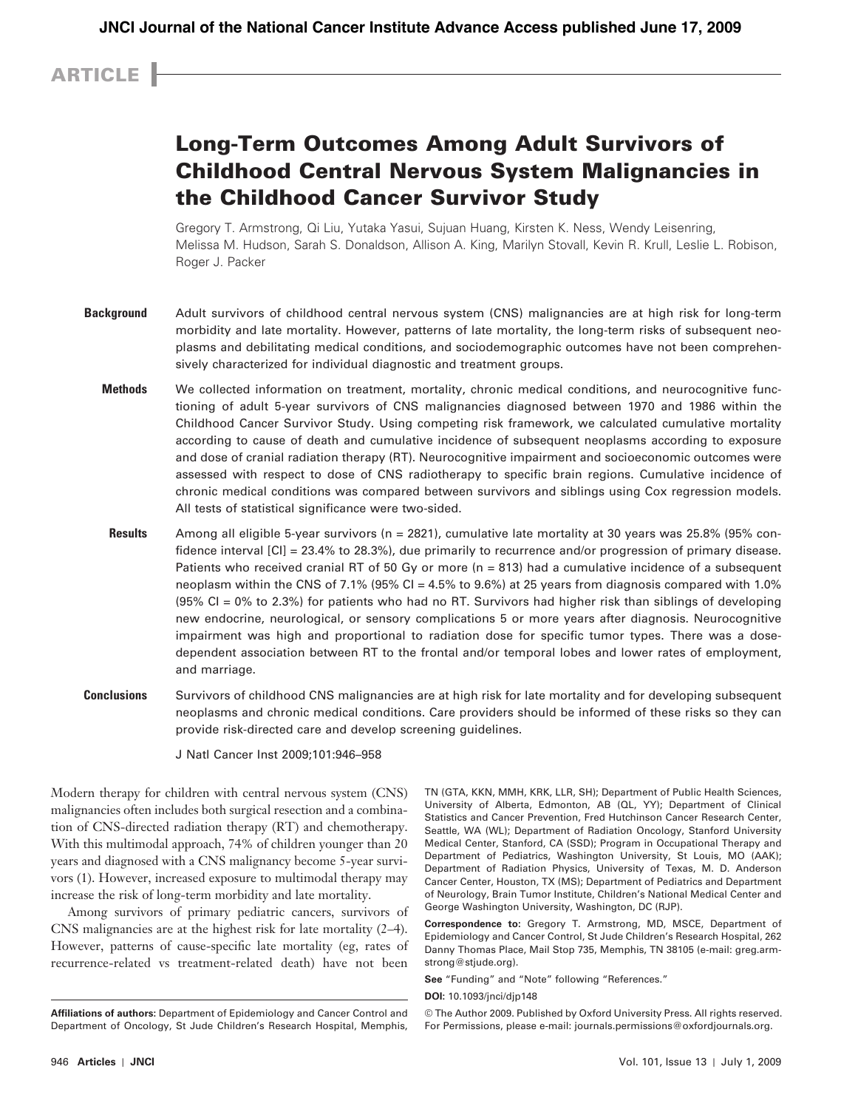## ARTICLE

# Long-Term Outcomes Among Adult Survivors of Childhood Central Nervous System Malignancies in the Childhood Cancer Survivor Study

Gregory T. Armstrong, Qi Liu, Yutaka Yasui, Sujuan Huang, Kirsten K. Ness, Wendy Leisenring, Melissa M. Hudson, Sarah S. Donaldson, Allison A. King, Marilyn Stovall, Kevin R. Krull, Leslie L. Robison, Roger J. Packer

- **Background** Adult survivors of childhood central nervous system (CNS) malignancies are at high risk for long-term morbidity and late mortality. However, patterns of late mortality, the long-term risks of subsequent neoplasms and debilitating medical conditions, and sociodemographic outcomes have not been comprehensively characterized for individual diagnostic and treatment groups.
	- **Methods** We collected information on treatment, mortality, chronic medical conditions, and neurocognitive functioning of adult 5-year survivors of CNS malignancies diagnosed between 1970 and 1986 within the Childhood Cancer Survivor Study. Using competing risk framework, we calculated cumulative mortality according to cause of death and cumulative incidence of subsequent neoplasms according to exposure and dose of cranial radiation therapy (RT). Neurocognitive impairment and socioeconomic outcomes were assessed with respect to dose of CNS radiotherapy to specific brain regions. Cumulative incidence of chronic medical conditions was compared between survivors and siblings using Cox regression models. All tests of statistical significance were two-sided.
	- **Results** Among all eligible 5-year survivors (n = 2821), cumulative late mortality at 30 years was 25.8% (95% confidence interval [CI] = 23.4% to 28.3%), due primarily to recurrence and/or progression of primary disease. Patients who received cranial RT of 50 Gy or more (n = 813) had a cumulative incidence of a subsequent neoplasm within the CNS of 7.1% (95% CI = 4.5% to 9.6%) at 25 years from diagnosis compared with 1.0% (95% CI = 0% to 2.3%) for patients who had no RT. Survivors had higher risk than siblings of developing new endocrine, neurological, or sensory complications 5 or more years after diagnosis. Neurocognitive impairment was high and proportional to radiation dose for specific tumor types. There was a dosedependent association between RT to the frontal and/or temporal lobes and lower rates of employment, and marriage.
- **Conclusions** Survivors of childhood CNS malignancies are at high risk for late mortality and for developing subsequent neoplasms and chronic medical conditions. Care providers should be informed of these risks so they can provide risk-directed care and develop screening guidelines.

J Natl Cancer Inst 2009;101: 946–958

 Modern therapy for children with central nervous system (CNS) malignancies often includes both surgical resection and a combination of CNS-directed radiation therapy (RT) and chemotherapy. With this multimodal approach, 74% of children younger than 20 years and diagnosed with a CNS malignancy become 5-year survivors (1). However, increased exposure to multimodal therapy may increase the risk of long-term morbidity and late mortality.

Among survivors of primary pediatric cancers, survivors of CNS malignancies are at the highest risk for late mortality  $(2-4)$ . However, patterns of cause-specific late mortality (eg, rates of recurrence-related vs treatment-related death) have not been

TN (GTA, KKN, MMH, KRK, LLR, SH); Department of Public Health Sciences, University of Alberta, Edmonton, AB (QL, YY); Department of Clinical Statistics and Cancer Prevention, Fred Hutchinson Cancer Research Center, Seattle, WA (WL); Department of Radiation Oncology, Stanford University Medical Center, Stanford, CA (SSD); Program in Occupational Therapy and Department of Pediatrics, Washington University, St Louis, MO (AAK); Department of Radiation Physics, University of Texas, M. D. Anderson Cancer Center, Houston, TX (MS); Department of Pediatrics and Department of Neurology, Brain Tumor Institute, Children's National Medical Center and George Washington University, Washington, DC (RJP) .

**Correspondence to:** Gregory T. Armstrong, MD, MSCE, Department of Epidemiology and Cancer Control, St Jude Children's Research Hospital, 262 Danny Thomas Place, Mail Stop 735, Memphis, TN 38105 (e-mail: greg.armstrong@stjude.org).

**See** "Funding" and "Note" following "References."

© The Author 2009. Published by Oxford University Press. All rights reserved. For Permissions, please e-mail: journals.permissions@oxfordjournals.org.

**Affiliations of authors:** Department of Epidemiology and Cancer Control and Department of Oncology, St Jude Children's Research Hospital, Memphis,

**DOI:** 10.1093/jnci/djp148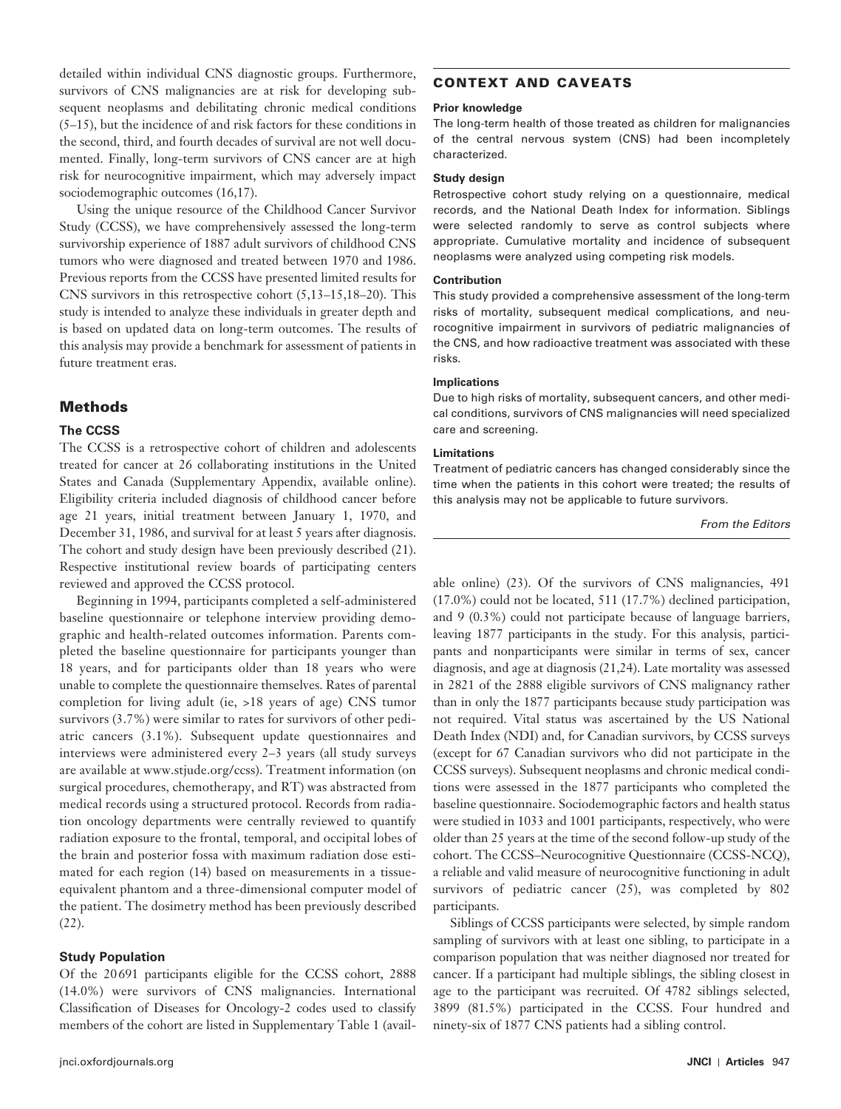detailed within individual CNS diagnostic groups. Furthermore, survivors of CNS malignancies are at risk for developing subsequent neoplasms and debilitating chronic medical conditions ( 5–15 ), but the incidence of and risk factors for these conditions in the second, third, and fourth decades of survival are not well documented. Finally, long-term survivors of CNS cancer are at high risk for neurocognitive impairment, which may adversely impact sociodemographic outcomes (16,17).

Using the unique resource of the Childhood Cancer Survivor Study (CCSS), we have comprehensively assessed the long-term survivorship experience of 1887 adult survivors of childhood CNS tumors who were diagnosed and treated between 1970 and 1986. Previous reports from the CCSS have presented limited results for CNS survivors in this retrospective cohort  $(5, 13-15, 18-20)$ . This study is intended to analyze these individuals in greater depth and is based on updated data on long-term outcomes. The results of this analysis may provide a benchmark for assessment of patients in future treatment eras.

## Methods

### **The CCSS**

The CCSS is a retrospective cohort of children and adolescents treated for cancer at 26 collaborating institutions in the United States and Canada (Supplementary Appendix, available online). Eligibility criteria included diagnosis of childhood cancer before age 21 years, initial treatment between January 1, 1970, and December 31, 1986, and survival for at least 5 years after diagnosis. The cohort and study design have been previously described (21). Respective institutional review boards of participating centers reviewed and approved the CCSS protocol.

Beginning in 1994, participants completed a self-administered baseline questionnaire or telephone interview providing demographic and health-related outcomes information. Parents completed the baseline questionnaire for participants younger than 18 years, and for participants older than 18 years who were unable to complete the questionnaire themselves. Rates of parental completion for living adult (ie, >18 years of age) CNS tumor survivors (3.7%) were similar to rates for survivors of other pediatric cancers (3.1%). Subsequent update questionnaires and interviews were administered every 2-3 years (all study surveys are available at www.stjude.org/ccss). Treatment information (on surgical procedures, chemotherapy, and RT) was abstracted from medical records using a structured protocol. Records from radiation oncology departments were centrally reviewed to quantify radiation exposure to the frontal, temporal, and occipital lobes of the brain and posterior fossa with maximum radiation dose estimated for each region (14) based on measurements in a tissueequivalent phantom and a three-dimensional computer model of the patient. The dosimetry method has been previously described  $(22)$ .

### **Study Population**

Of the 20 691 participants eligible for the CCSS cohort, 2888 (14.0%) were survivors of CNS malignancies. International Classification of Diseases for Oncology-2 codes used to classify members of the cohort are listed in Supplementary Table 1(avail-

## CONTEXT AND CAVEATS

#### **Prior knowledge**

The long-term health of those treated as children for malignancies of the central nervous system (CNS) had been incompletely characterized.

#### **Study design**

Retrospective cohort study relying on a questionnaire, medical records, and the National Death Index for information. Siblings were selected randomly to serve as control subjects where appropriate. Cumulative mortality and incidence of subsequent neoplasms were analyzed using competing risk models.

#### **Contribution**

This study provided a comprehensive assessment of the long-term risks of mortality, subsequent medical complications, and neurocognitive impairment in survivors of pediatric malignancies of the CNS, and how radioactive treatment was associated with these risks.

#### **Implications**

Due to high risks of mortality, subsequent cancers, and other medical conditions, survivors of CNS malignancies will need specialized care and screening.

#### **Limitations**

Treatment of pediatric cancers has changed considerably since the time when the patients in this cohort were treated; the results of this analysis may not be applicable to future survivors.

From the Editors

able online) (23). Of the survivors of CNS malignancies, 491 (17.0%) could not be located, 511 (17.7%) declined participation, and 9 (0.3%) could not participate because of language barriers, leaving 1877 participants in the study. For this analysis, participants and nonparticipants were similar in terms of sex, cancer diagnosis, and age at diagnosis  $(21,24)$ . Late mortality was assessed in 2821 of the 2888 eligible survivors of CNS malignancy rather than in only the 1877 participants because study participation was not required. Vital status was ascertained by the US National Death Index (NDI) and, for Canadian survivors, by CCSS surveys (except for 67 Canadian survivors who did not participate in the CCSS surveys). Subsequent neoplasms and chronic medical conditions were assessed in the 1877 participants who completed the baseline questionnaire. Sociodemographic factors and health status were studied in 1033 and 1001 participants, respectively, who were older than 25 years at the time of the second follow-up study of the cohort. The CCSS – Neurocognitive Questionnaire (CCSS-NCQ), a reliable and valid measure of neurocognitive functioning in adult survivors of pediatric cancer  $(25)$ , was completed by 802 participants.

Siblings of CCSS participants were selected, by simple random sampling of survivors with at least one sibling, to participate in a comparison population that was neither diagnosed nor treated for cancer. If a participant had multiple siblings, the sibling closest in age to the participant was recruited. Of 4782 siblings selected, 3899 (81.5%) participated in the CCSS. Four hundred and ninety-six of 1877 CNS patients had a sibling control.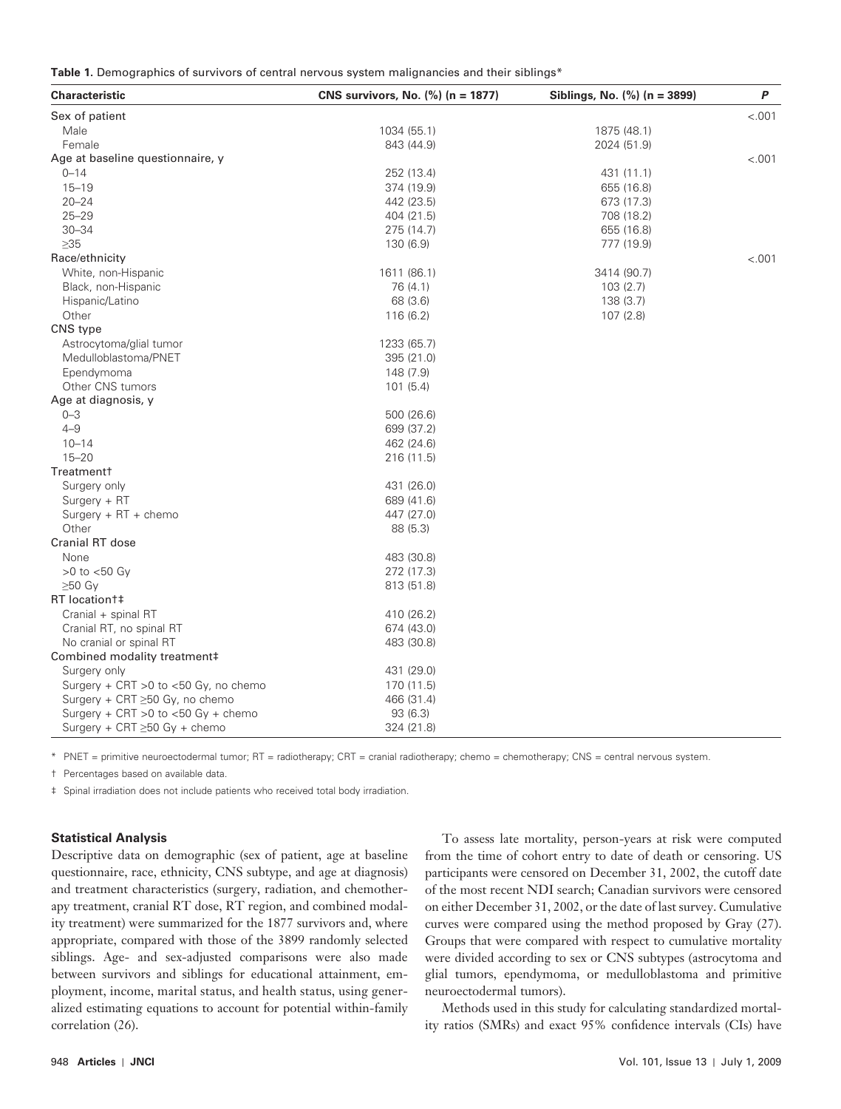| Table 1. Demographics of survivors of central nervous system malignancies and their siblings* |  |  |  |  |
|-----------------------------------------------------------------------------------------------|--|--|--|--|
|                                                                                               |  |  |  |  |

| <b>Characteristic</b>                 | CNS survivors, No. (%) (n = 1877) | Siblings, No. (%) (n = 3899) | P      |
|---------------------------------------|-----------------------------------|------------------------------|--------|
| Sex of patient                        |                                   |                              | < .001 |
| Male                                  | 1034 (55.1)                       | 1875 (48.1)                  |        |
| Female                                | 843 (44.9)                        | 2024 (51.9)                  |        |
| Age at baseline questionnaire, y      |                                   |                              | < .001 |
| $0 - 14$                              | 252 (13.4)                        | 431 (11.1)                   |        |
| $15 - 19$                             | 374 (19.9)                        | 655 (16.8)                   |        |
| $20 - 24$                             | 442 (23.5)                        | 673 (17.3)                   |        |
| $25 - 29$                             | 404 (21.5)                        | 708 (18.2)                   |        |
| $30 - 34$                             | 275 (14.7)                        | 655 (16.8)                   |        |
| $\geq$ 35                             | 130 (6.9)                         | 777 (19.9)                   |        |
| Race/ethnicity                        |                                   |                              | < .001 |
| White, non-Hispanic                   | 1611 (86.1)                       | 3414 (90.7)                  |        |
| Black, non-Hispanic                   | 76 (4.1)                          | 103 (2.7)                    |        |
| Hispanic/Latino                       | 68 (3.6)                          | 138 (3.7)                    |        |
| Other                                 | 116(6.2)                          | 107(2.8)                     |        |
| CNS type                              |                                   |                              |        |
| Astrocytoma/glial tumor               | 1233 (65.7)                       |                              |        |
| Medulloblastoma/PNET                  | 395 (21.0)                        |                              |        |
| Ependymoma                            | 148 (7.9)                         |                              |        |
| Other CNS tumors                      | 101(5.4)                          |                              |        |
| Age at diagnosis, y                   |                                   |                              |        |
| $0 - 3$                               | 500 (26.6)                        |                              |        |
| $4 - 9$                               | 699 (37.2)                        |                              |        |
| $10 - 14$                             | 462 (24.6)                        |                              |        |
| $15 - 20$                             | 216 (11.5)                        |                              |        |
| Treatment <sup>+</sup>                |                                   |                              |        |
| Surgery only                          | 431 (26.0)                        |                              |        |
| Surgery + RT                          | 689 (41.6)                        |                              |        |
| Surgery + RT + chemo                  | 447 (27.0)                        |                              |        |
| Other                                 | 88 (5.3)                          |                              |        |
| Cranial RT dose                       |                                   |                              |        |
| None                                  | 483 (30.8)                        |                              |        |
| $>0$ to $<$ 50 Gy                     | 272 (17.3)                        |                              |        |
| ≥50 Gy                                | 813 (51.8)                        |                              |        |
| RT location##                         |                                   |                              |        |
| Cranial + spinal RT                   | 410 (26.2)                        |                              |        |
| Cranial RT, no spinal RT              | 674 (43.0)                        |                              |        |
| No cranial or spinal RT               | 483 (30.8)                        |                              |        |
| Combined modality treatment‡          |                                   |                              |        |
| Surgery only                          | 431 (29.0)                        |                              |        |
| Surgery + CRT > 0 to <50 Gy, no chemo | 170 (11.5)                        |                              |        |
| Surgery + CRT ≥50 Gy, no chemo        | 466 (31.4)                        |                              |        |
| Surgery + CRT > 0 to <50 Gy + chemo   | 93 (6.3)                          |                              |        |
| Surgery + CRT $\geq$ 50 Gy + chemo    | 324 (21.8)                        |                              |        |

\* PNET = primitive neuroectodermal tumor; RT = radiotherapy; CRT = cranial radiotherapy; chemo = chemotherapy; CNS = central nervous system.

† Percentages based on available data.

‡ Spinal irradiation does not include patients who received total body irradiation.

### **Statistical Analysis**

Descriptive data on demographic (sex of patient, age at baseline questionnaire, race, ethnicity, CNS subtype, and age at diagnosis) and treatment characteristics (surgery, radiation, and chemotherapy treatment, cranial RT dose, RT region, and combined modality treatment) were summarized for the 1877 survivors and, where appropriate, compared with those of the 3899 randomly selected siblings. Age- and sex-adjusted comparisons were also made between survivors and siblings for educational attainment, employment, income, marital status, and health status, using generalized estimating equations to account for potential within-family correlation (26).

To assess late mortality, person-years at risk were computed from the time of cohort entry to date of death or censoring. US participants were censored on December 31, 2002, the cutoff date of the most recent NDI search; Canadian survivors were censored on either December 31, 2002, or the date of last survey. Cumulative curves were compared using the method proposed by Gray (27). Groups that were compared with respect to cumulative mortality were divided according to sex or CNS subtypes (astrocytoma and glial tumors, ependymoma, or medulloblastoma and primitive neuroectodermal tumors).

Methods used in this study for calculating standardized mortality ratios (SMRs) and exact 95% confidence intervals (CIs) have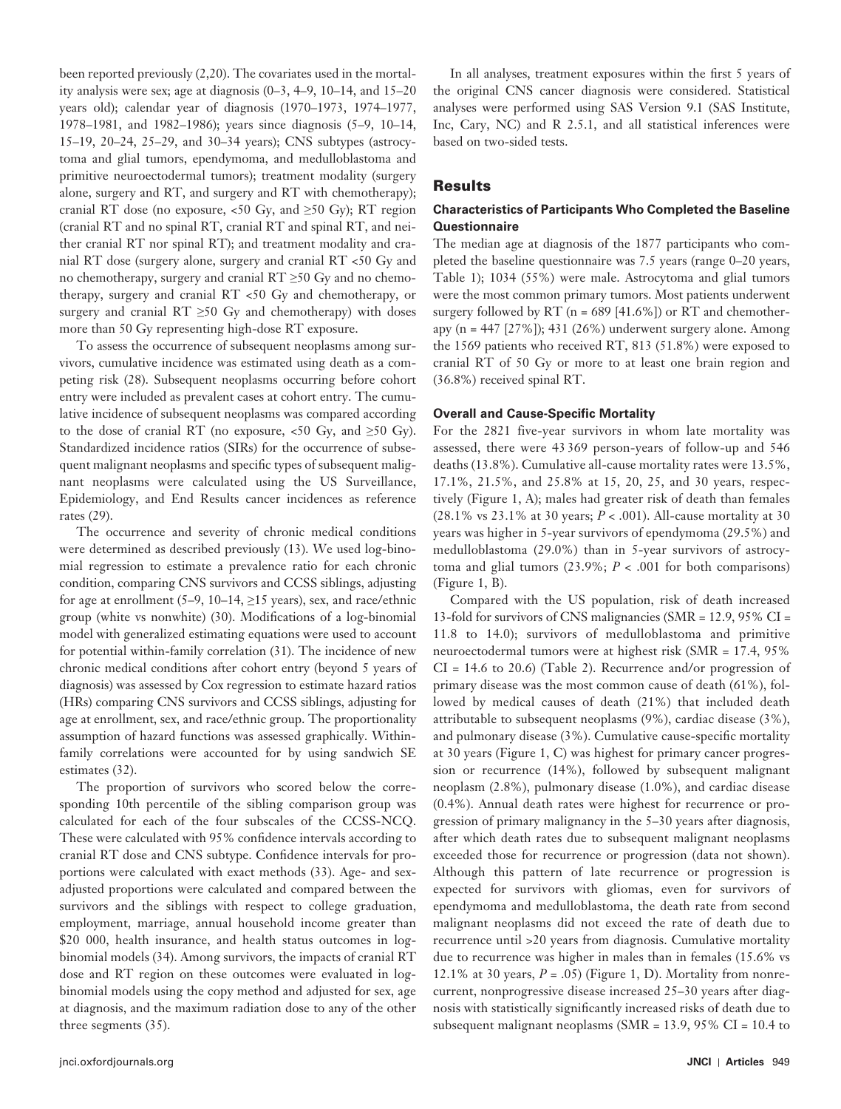been reported previously  $(2,20)$ . The covariates used in the mortality analysis were sex; age at diagnosis  $(0-3, 4-9, 10-14, 15-20)$ years old); calendar year of diagnosis (1970–1973, 1974–1977, 1978–1981, and 1982–1986); years since diagnosis (5–9, 10–14, 15-19, 20-24, 25-29, and 30-34 years); CNS subtypes (astrocytoma and glial tumors, ependymoma, and medulloblastoma and primitive neuroectodermal tumors); treatment modality (surgery alone, surgery and RT, and surgery and RT with chemotherapy); cranial RT dose (no exposure,  $\lt 50$  Gy, and  $\ge 50$  Gy); RT region (cranial RT and no spinal RT, cranial RT and spinal RT, and neither cranial RT nor spinal RT); and treatment modality and cranial RT dose (surgery alone, surgery and cranial RT <50 Gy and no chemotherapy, surgery and cranial  $RT \geq 50$  Gy and no chemotherapy, surgery and cranial RT <50 Gy and chemotherapy, or surgery and cranial  $RT \geq 50$  Gy and chemotherapy) with doses more than 50 Gy representing high-dose RT exposure.

To assess the occurrence of subsequent neoplasms among survivors, cumulative incidence was estimated using death as a competing risk (28). Subsequent neoplasms occurring before cohort entry were included as prevalent cases at cohort entry. The cumulative incidence of subsequent neoplasms was compared according to the dose of cranial RT (no exposure,  $\lt 50$  Gy, and  $\ge 50$  Gy). Standardized incidence ratios (SIRs) for the occurrence of subsequent malignant neoplasms and specific types of subsequent malignant neoplasms were calculated using the US Surveillance, Epidemiology, and End Results cancer incidences as reference rates (29).

The occurrence and severity of chronic medical conditions were determined as described previously (13). We used log-binomial regression to estimate a prevalence ratio for each chronic condition, comparing CNS survivors and CCSS siblings, adjusting for age at enrollment (5–9, 10–14,  $\geq$ 15 years), sex, and race/ethnic group (white vs nonwhite) (30). Modifications of a log-binomial model with generalized estimating equations were used to account for potential within-family correlation (31). The incidence of new chronic medical conditions after cohort entry (beyond 5 years of diagnosis) was assessed by Cox regression to estimate hazard ratios (HRs) comparing CNS survivors and CCSS siblings, adjusting for age at enrollment, sex, and race/ethnic group. The proportionality assumption of hazard functions was assessed graphically. Withinfamily correlations were accounted for by using sandwich SE estimates (32).

The proportion of survivors who scored below the corresponding 10th percentile of the sibling comparison group was calculated for each of the four subscales of the CCSS-NCQ. These were calculated with 95% confidence intervals according to cranial RT dose and CNS subtype. Confidence intervals for proportions were calculated with exact methods (33). Age- and sexadjusted proportions were calculated and compared between the survivors and the siblings with respect to college graduation, employment, marriage, annual household income greater than \$20 000, health insurance, and health status outcomes in logbinomial models (34). Among survivors, the impacts of cranial RT dose and RT region on these outcomes were evaluated in logbinomial models using the copy method and adjusted for sex, age at diagnosis, and the maximum radiation dose to any of the other three segments  $(35)$ .

In all analyses, treatment exposures within the first 5 years of the original CNS cancer diagnosis were considered. Statistical analyses were performed using SAS Version 9.1 (SAS Institute, Inc, Cary, NC) and R 2.5.1, and all statistical inferences were based on two-sided tests.

## **Results**

## **Characteristics of Participants Who Completed the Baseline Questionnaire**

The median age at diagnosis of the 1877 participants who completed the baseline questionnaire was  $7.5$  years (range  $0-20$  years, Table 1); 1034 (55%) were male. Astrocytoma and glial tumors were the most common primary tumors. Most patients underwent surgery followed by RT ( $n = 689$  [41.6%]) or RT and chemotherapy (n =  $447$  [27%]);  $431$  (26%) underwent surgery alone. Among the 1569 patients who received RT, 813 (51.8%) were exposed to cranial RT of 50 Gy or more to at least one brain region and (36.8%) received spinal RT.

### **Overall and Cause-Specific Mortality**

For the 2821 five-year survivors in whom late mortality was assessed, there were 43 369 person-years of follow-up and 546 deaths (13.8%). Cumulative all-cause mortality rates were 13.5%, 17.1%, 21.5%, and 25.8% at 15, 20, 25, and 30 years, respectively (Figure 1, A); males had greater risk of death than females (28.1% vs 23.1% at 30 years; *P* < .001). All-cause mortality at 30 years was higher in 5-year survivors of ependymoma (29.5%) and medulloblastoma (29.0%) than in 5-year survivors of astrocytoma and glial tumors  $(23.9\%; P < .001$  for both comparisons)  $(Figure 1, B)$ .

Compared with the US population, risk of death increased 13-fold for survivors of CNS malignancies (SMR = 12.9, 95% CI = 11.8 to 14.0); survivors of medulloblastoma and primitive neuroectodermal tumors were at highest risk (SMR = 17.4, 95%  $CI = 14.6$  to 20.6) (Table 2). Recurrence and/or progression of primary disease was the most common cause of death (61%), followed by medical causes of death (21%) that included death attributable to subsequent neoplasms (9%), cardiac disease (3%), and pulmonary disease  $(3\%)$ . Cumulative cause-specific mortality at 30 years (Figure 1, C) was highest for primary cancer progression or recurrence (14%), followed by subsequent malignant neoplasm (2.8%), pulmonary disease (1.0%), and cardiac disease (0.4%). Annual death rates were highest for recurrence or progression of primary malignancy in the 5 – 30 years after diagnosis, after which death rates due to subsequent malignant neoplasms exceeded those for recurrence or progression (data not shown). Although this pattern of late recurrence or progression is expected for survivors with gliomas, even for survivors of ependymoma and medulloblastoma, the death rate from second malignant neoplasms did not exceed the rate of death due to recurrence until >20 years from diagnosis . Cumulative mortality due to recurrence was higher in males than in females (15.6% vs 12.1% at 30 years,  $P = .05$ ) (Figure 1, D). Mortality from nonrecurrent, nonprogressive disease increased 25-30 years after diagnosis with statistically significantly increased risks of death due to subsequent malignant neoplasms (SMR = 13.9, 95% CI = 10.4 to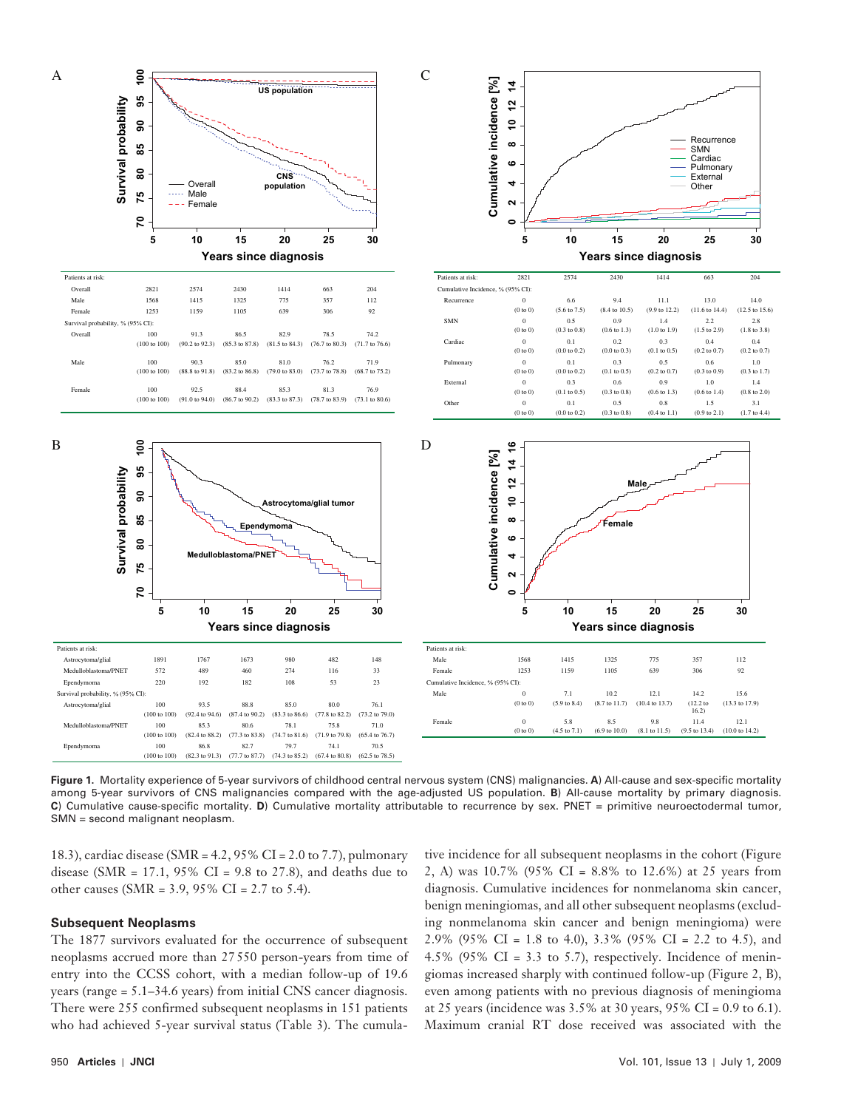

Figure 1. Mortality experience of 5-year survivors of childhood central nervous system (CNS) malignancies. A) All-cause and sex-specific mortality among 5-year survivors of CNS malignancies compared with the age-adjusted US population. **B**) All-cause mortality by primary diagnosis. **C**) Cumulative cause-specific mortality. **D**) Cumulative mortality attributable to recurrence by sex. PNET = primitive neuroectodermal tumor, SMN = second malignant neoplasm.

18.3), cardiac disease (SMR = 4.2, 95% CI = 2.0 to 7.7), pulmonary disease (SMR = 17.1, 95% CI = 9.8 to 27.8), and deaths due to other causes (SMR = 3.9, 95% CI = 2.7 to 5.4).

#### **Subsequent Neoplasms**

The 1877 survivors evaluated for the occurrence of subsequent neoplasms accrued more than 27 550 person-years from time of entry into the CCSS cohort, with a median follow-up of 19.6 years (range  $= 5.1 - 34.6$  years) from initial CNS cancer diagnosis. There were 255 confirmed subsequent neoplasms in 151 patients who had achieved 5-year survival status (Table 3). The cumula-

tive incidence for all subsequent neoplasms in the cohort (Figure 2, A) was  $10.7\%$  (95% CI = 8.8% to 12.6%) at 25 years from diagnosis. Cumulative incidences for nonmelanoma skin cancer, benign meningiomas, and all other subsequent neoplasms (excluding nonmelanoma skin cancer and benign meningioma) were 2.9% (95% CI = 1.8 to 4.0), 3.3% (95% CI = 2.2 to 4.5), and 4.5% (95% CI = 3.3 to 5.7), respectively. Incidence of meningiomas increased sharply with continued follow-up (Figure 2, B), even among patients with no previous diagnosis of meningioma at 25 years (incidence was 3.5% at 30 years, 95% CI = 0.9 to 6.1). Maximum cranial RT dose received was associated with the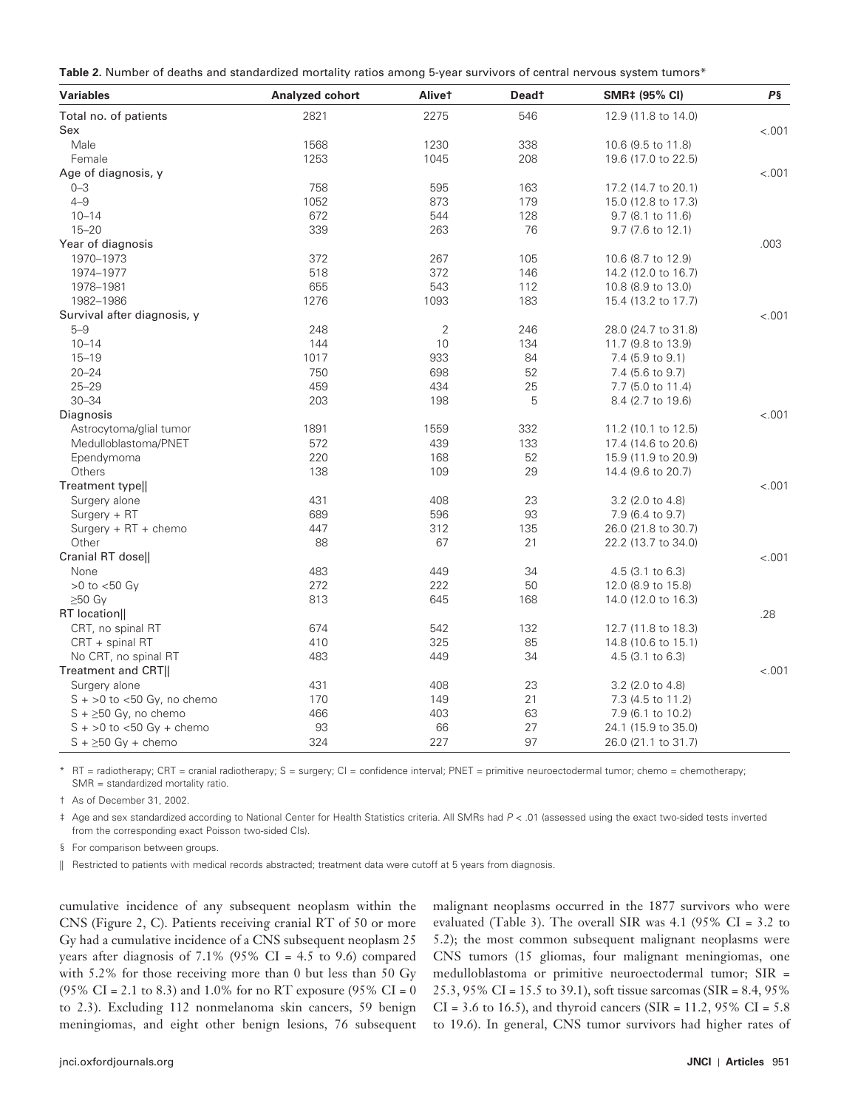|  | Table 2. Number of deaths and standardized mortality ratios among 5-year survivors of central nervous system tumors* |
|--|----------------------------------------------------------------------------------------------------------------------|
|--|----------------------------------------------------------------------------------------------------------------------|

| <b>Variables</b>              | <b>Analyzed cohort</b> | Alivet         | <b>Deadt</b> | SMR‡ (95% CI)       | P§     |
|-------------------------------|------------------------|----------------|--------------|---------------------|--------|
| Total no. of patients         | 2821                   | 2275           | 546          | 12.9 (11.8 to 14.0) |        |
| Sex                           |                        |                |              |                     | < .001 |
| Male                          | 1568                   | 1230           | 338          | 10.6 (9.5 to 11.8)  |        |
| Female                        | 1253                   | 1045           | 208          | 19.6 (17.0 to 22.5) |        |
| Age of diagnosis, y           |                        |                |              |                     | < .001 |
| $0 - 3$                       | 758                    | 595            | 163          | 17.2 (14.7 to 20.1) |        |
| $4 - 9$                       | 1052                   | 873            | 179          | 15.0 (12.8 to 17.3) |        |
| $10 - 14$                     | 672                    | 544            | 128          | 9.7 (8.1 to 11.6)   |        |
| $15 - 20$                     | 339                    | 263            | 76           | 9.7 (7.6 to 12.1)   |        |
| Year of diagnosis             |                        |                |              |                     | .003   |
| 1970-1973                     | 372                    | 267            | 105          | 10.6 (8.7 to 12.9)  |        |
| 1974-1977                     | 518                    | 372            | 146          | 14.2 (12.0 to 16.7) |        |
| 1978-1981                     | 655                    | 543            | 112          | 10.8 (8.9 to 13.0)  |        |
| 1982-1986                     | 1276                   | 1093           | 183          | 15.4 (13.2 to 17.7) |        |
| Survival after diagnosis, y   |                        |                |              |                     | < .001 |
| $5 - 9$                       | 248                    | $\overline{2}$ | 246          | 28.0 (24.7 to 31.8) |        |
| $10 - 14$                     | 144                    | 10             | 134          | 11.7 (9.8 to 13.9)  |        |
| $15 - 19$                     | 1017                   | 933            | 84           | 7.4 (5.9 to 9.1)    |        |
| $20 - 24$                     | 750                    | 698            | 52           | 7.4 (5.6 to 9.7)    |        |
| $25 - 29$                     | 459                    | 434            | 25           | 7.7 (5.0 to 11.4)   |        |
| $30 - 34$                     | 203                    | 198            | 5            | 8.4 (2.7 to 19.6)   |        |
| Diagnosis                     |                        |                |              |                     | < .001 |
| Astrocytoma/glial tumor       | 1891                   | 1559           | 332          | 11.2 (10.1 to 12.5) |        |
| Medulloblastoma/PNET          | 572                    | 439            | 133          | 17.4 (14.6 to 20.6) |        |
| Ependymoma                    | 220                    | 168            | 52           | 15.9 (11.9 to 20.9) |        |
| Others                        | 138                    | 109            | 29           | 14.4 (9.6 to 20.7)  |        |
| Treatment type                |                        |                |              |                     | < .001 |
| Surgery alone                 | 431                    | 408            | 23           | 3.2 (2.0 to 4.8)    |        |
| $Surgery + RT$                | 689                    | 596            | 93           | 7.9 (6.4 to 9.7)    |        |
| Surgery + RT + chemo          | 447                    | 312            | 135          | 26.0 (21.8 to 30.7) |        |
| Other                         | 88                     | 67             | 21           | 22.2 (13.7 to 34.0) |        |
| Cranial RT dose               |                        |                |              |                     | < .001 |
| None                          | 483                    | 449            | 34           | $4.5$ (3.1 to 6.3)  |        |
|                               | 272                    | 222            | 50           |                     |        |
| $>0$ to $<$ 50 Gy             |                        |                |              | 12.0 (8.9 to 15.8)  |        |
| $\geq 50$ Gy                  | 813                    | 645            | 168          | 14.0 (12.0 to 16.3) |        |
| RT location                   |                        |                |              |                     | .28    |
| CRT, no spinal RT             | 674                    | 542            | 132          | 12.7 (11.8 to 18.3) |        |
| $CRT + spinal RT$             | 410                    | 325            | 85           | 14.8 (10.6 to 15.1) |        |
| No CRT, no spinal RT          | 483                    | 449            | 34           | $4.5$ (3.1 to 6.3)  |        |
| Treatment and CRT             |                        |                |              |                     | < .001 |
| Surgery alone                 | 431                    | 408            | 23           | 3.2 (2.0 to 4.8)    |        |
| $S + >0$ to <50 Gy, no chemo  | 170                    | 149            | 21           | 7.3 (4.5 to 11.2)   |        |
| $S + \geq 50$ Gy, no chemo    | 466                    | 403            | 63           | 7.9 (6.1 to 10.2)   |        |
| $S + >0$ to $< 50$ Gy + chemo | 93                     | 66             | 27           | 24.1 (15.9 to 35.0) |        |
| $S + \geq 50$ Gy + chemo      | 324                    | 227            | 97           | 26.0 (21.1 to 31.7) |        |

RT = radiotherapy; CRT = cranial radiotherapy; S = surgery; CI = confidence interval; PNET = primitive neuroectodermal tumor; chemo = chemotherapy; SMR = standardized mortality ratio.

† As of December 31, 2002.

 ‡ Age and sex standardized according to National Center for Health Statistics criteria. All SMRs had P < .01 (assessed using the exact two-sided tests inverted from the corresponding exact Poisson two-sided CIs).

§ For comparison between groups.

|| Restricted to patients with medical records abstracted; treatment data were cutoff at 5 years from diagnosis.

cumulative incidence of any subsequent neoplasm within the CNS (Figure 2, C). Patients receiving cranial RT of 50 or more Gy had a cumulative incidence of a CNS subsequent neoplasm 25 years after diagnosis of  $7.1\%$  (95% CI = 4.5 to 9.6) compared with 5.2% for those receiving more than 0 but less than 50 Gy (95% CI = 2.1 to 8.3) and 1.0% for no RT exposure (95% CI = 0 to 2.3). Excluding 112 nonmelanoma skin cancers, 59 benign meningiomas, and eight other benign lesions, 76 subsequent malignant neoplasms occurred in the 1877 survivors who were evaluated (Table 3). The overall SIR was  $4.1$  (95% CI = 3.2 to 5.2); the most common subsequent malignant neoplasms were CNS tumors (15 gliomas, four malignant meningiomas, one medulloblastoma or primitive neuroectodermal tumor; SIR = 25.3, 95% CI = 15.5 to 39.1), soft tissue sarcomas (SIR = 8.4, 95%  $CI = 3.6$  to 16.5), and thyroid cancers (SIR = 11.2, 95%  $CI = 5.8$ to 19.6). In general, CNS tumor survivors had higher rates of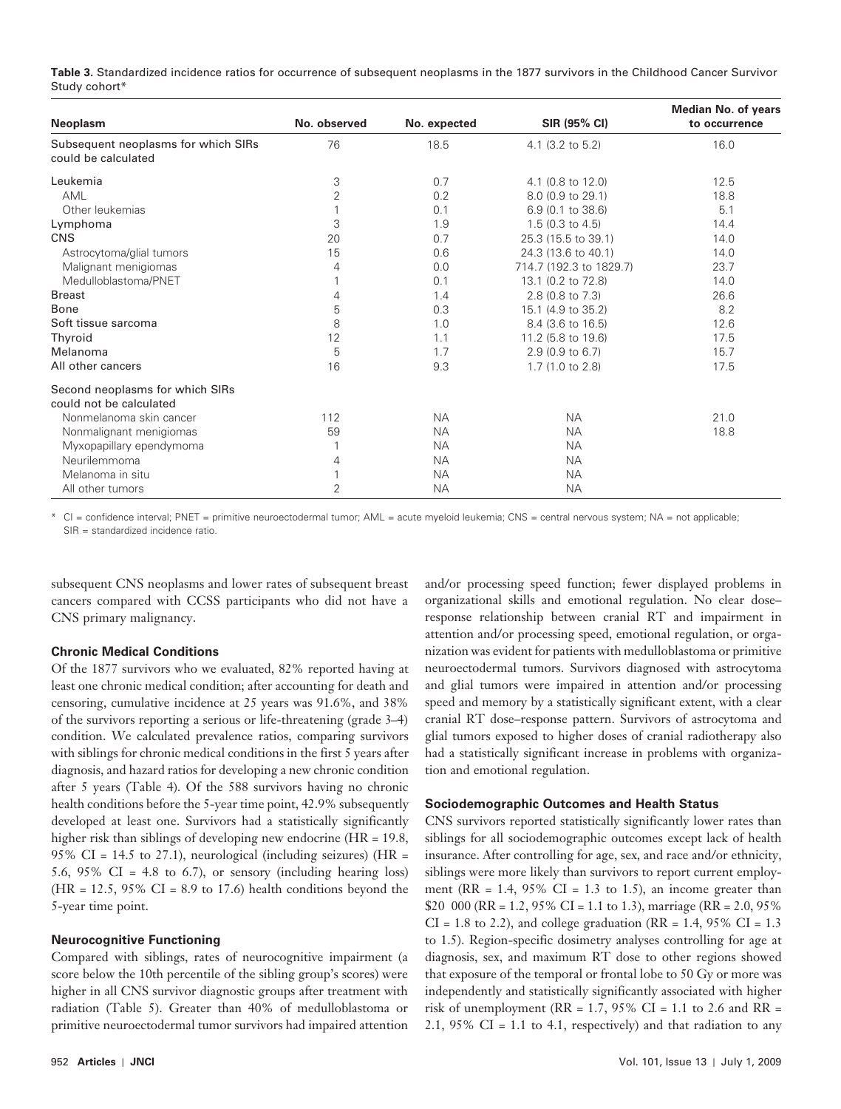**Table 3.** Standardized incidence ratios for occurrence of subsequent neoplasms in the 1877 survivors in the Childhood Cancer Survivor Study cohort\*

| <b>Neoplasm</b>                                            | No. observed   | No. expected | SIR (95% CI)            | <b>Median No. of years</b><br>to occurrence |
|------------------------------------------------------------|----------------|--------------|-------------------------|---------------------------------------------|
| Subsequent neoplasms for which SIRs<br>could be calculated | 76             | 18.5         | 4.1 (3.2 to 5.2)        | 16.0                                        |
| Leukemia                                                   | 3              | 0.7          | 4.1 (0.8 to 12.0)       | 12.5                                        |
| AML                                                        | $\overline{2}$ | 0.2          | 8.0 (0.9 to 29.1)       | 18.8                                        |
| Other leukemias                                            |                | 0.1          | 6.9 (0.1 to 38.6)       | 5.1                                         |
| Lymphoma                                                   | 3              | 1.9          | $1.5$ (0.3 to 4.5)      | 14.4                                        |
| <b>CNS</b>                                                 | 20             | 0.7          | 25.3 (15.5 to 39.1)     | 14.0                                        |
| Astrocytoma/glial tumors                                   | 15             | 0.6          | 24.3 (13.6 to 40.1)     | 14.0                                        |
| Malignant menigiomas                                       | 4              | 0.0          | 714.7 (192.3 to 1829.7) | 23.7                                        |
| Medulloblastoma/PNET                                       |                | 0.1          | 13.1 (0.2 to 72.8)      | 14.0                                        |
| <b>Breast</b>                                              | 4              | 1.4          | 2.8 (0.8 to 7.3)        | 26.6                                        |
| Bone                                                       | 5              | 0.3          | 15.1 (4.9 to 35.2)      | 8.2                                         |
| Soft tissue sarcoma                                        | 8              | 1.0          | 8.4 (3.6 to 16.5)       | 12.6                                        |
| Thyroid                                                    | 12             | 1.1          | 11.2 (5.8 to 19.6)      | 17.5                                        |
| Melanoma                                                   | 5              | 1.7          | 2.9 (0.9 to 6.7)        | 15.7                                        |
| All other cancers                                          | 16             | 9.3          | 1.7 (1.0 to 2.8)        | 17.5                                        |
| Second neoplasms for which SIRs                            |                |              |                         |                                             |
| could not be calculated                                    |                |              |                         |                                             |
| Nonmelanoma skin cancer                                    | 112            | <b>NA</b>    | <b>NA</b>               | 21.0                                        |
| Nonmalignant menigiomas                                    | 59             | <b>NA</b>    | <b>NA</b>               | 18.8                                        |
| Myxopapillary ependymoma                                   |                | <b>NA</b>    | <b>NA</b>               |                                             |
| Neurilemmoma                                               | 4              | <b>NA</b>    | <b>NA</b>               |                                             |
| Melanoma in situ                                           |                | <b>NA</b>    | <b>NA</b>               |                                             |
| All other tumors                                           | $\overline{2}$ | <b>NA</b>    | <b>NA</b>               |                                             |

 \* CI = confidence interval; PNET = primitive neuroectodermal tumor; AML = acute myeloid leukemia; CNS = central nervous system; NA = not applicable; SIR = standardized incidence ratio.

subsequent CNS neoplasms and lower rates of subsequent breast cancers compared with CCSS participants who did not have a CNS primary malignancy.

#### **Chronic Medical Conditions**

Of the 1877 survivors who we evaluated, 82% reported having at least one chronic medical condition; after accounting for death and censoring, cumulative incidence at 25 years was 91.6%, and 38% of the survivors reporting a serious or life-threatening (grade 3–4) condition. We calculated prevalence ratios, comparing survivors with siblings for chronic medical conditions in the first 5 years after diagnosis, and hazard ratios for developing a new chronic condition after 5 years (Table 4). Of the 588 survivors having no chronic health conditions before the 5-year time point, 42.9% subsequently developed at least one. Survivors had a statistically significantly higher risk than siblings of developing new endocrine (HR = 19.8, 95% CI = 14.5 to 27.1), neurological (including seizures) ( $HR =$ 5.6, 95% CI = 4.8 to 6.7), or sensory (including hearing loss)  $(HR = 12.5, 95\% \text{ CI} = 8.9 \text{ to } 17.6)$  health conditions beyond the 5-year time point.

#### **Neurocognitive Functioning**

Compared with siblings, rates of neurocognitive impairment (a score below the 10th percentile of the sibling group's scores) were higher in all CNS survivor diagnostic groups after treatment with radiation (Table 5). Greater than 40% of medulloblastoma or primitive neuroectodermal tumor survivors had impaired attention

and/or processing speed function; fewer displayed problems in organizational skills and emotional regulation. No clear dose – response relationship between cranial RT and impairment in attention and/or processing speed, emotional regulation, or organization was evident for patients with medulloblastoma or primitive neuroectodermal tumors. Survivors diagnosed with astrocytoma and glial tumors were impaired in attention and/or processing speed and memory by a statistically significant extent, with a clear cranial RT dose-response pattern. Survivors of astrocytoma and glial tumors exposed to higher doses of cranial radiotherapy also had a statistically significant increase in problems with organization and emotional regulation.

### **Sociodemographic Outcomes and Health Status**

CNS survivors reported statistically significantly lower rates than siblings for all sociodemographic outcomes except lack of health insurance. After controlling for age, sex, and race and/or ethnicity, siblings were more likely than survivors to report current employment ( $RR = 1.4$ ,  $95\%$  CI = 1.3 to 1.5), an income greater than \$20 000 (RR = 1.2, 95% CI = 1.1 to 1.3), marriage (RR = 2.0, 95%  $CI = 1.8$  to 2.2), and college graduation (RR = 1.4, 95% CI = 1.3 to 1.5). Region-specific dosimetry analyses controlling for age at diagnosis, sex, and maximum RT dose to other regions showed that exposure of the temporal or frontal lobe to 50 Gy or more was independently and statistically significantly associated with higher risk of unemployment (RR =  $1.7$ , 95% CI =  $1.1$  to 2.6 and RR = 2.1, 95% CI = 1.1 to 4.1, respectively) and that radiation to any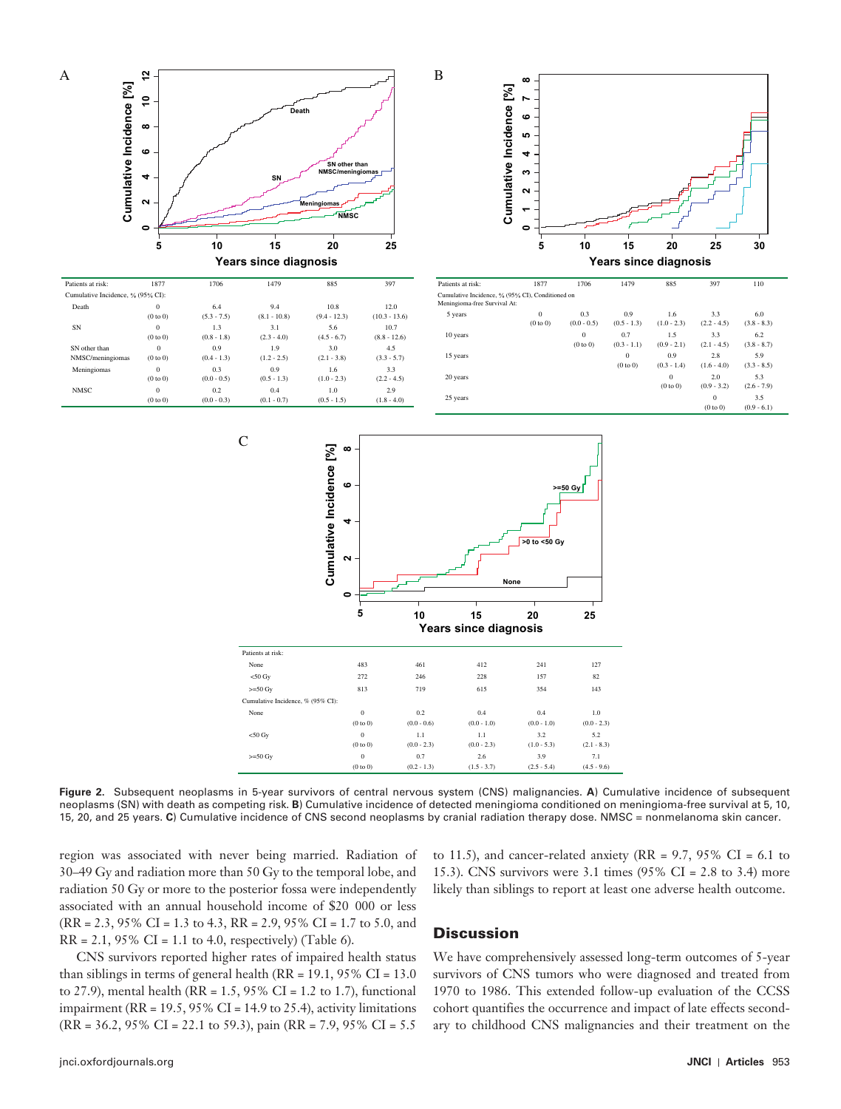

 **Figure 2.** Subsequent neoplasms in 5-year survivors of central nervous system (CNS) malignancies. **A**) Cumulative incidence of subsequent neoplasms (SN) with death as competing risk. **B**) Cumulative incidence of detected meningioma conditioned on meningioma-free survival at 5, 10, 15, 20, and 25 years. **C**) Cumulative incidence of CNS second neoplasms by cranial radiation therapy dose. NMSC = nonmelanoma skin cancer.

region was associated with never being married. Radiation of 30 – 49 Gy and radiation more than 50 Gy to the temporal lobe, and radiation 50 Gy or more to the posterior fossa were independently associated with an annual household income of \$20 000 or less (RR = 2.3, 95% CI = 1.3 to 4.3, RR = 2.9, 95% CI = 1.7 to 5.0, and  $RR = 2.1, 95\% \text{ CI} = 1.1 \text{ to } 4.0, \text{ respectively}$  (Table 6).

CNS survivors reported higher rates of impaired health status than siblings in terms of general health ( $RR = 19.1$ ,  $95\%$  CI = 13.0 to 27.9), mental health (RR =  $1.5$ , 95% CI =  $1.2$  to 1.7), functional impairment (RR = 19.5, 95% CI = 14.9 to 25.4), activity limitations (RR = 36.2, 95% CI = 22.1 to 59.3), pain (RR = 7.9, 95% CI = 5.5

## to 11.5), and cancer-related anxiety (RR =  $9.7$ ,  $95\%$  CI =  $6.1$  to 15.3). CNS survivors were 3.1 times (95% CI = 2.8 to 3.4) more likely than siblings to report at least one adverse health outcome.

## **Discussion**

We have comprehensively assessed long-term outcomes of 5-year survivors of CNS tumors who were diagnosed and treated from 1970 to 1986. This extended follow-up evaluation of the CCSS cohort quantifies the occurrence and impact of late effects secondary to childhood CNS malignancies and their treatment on the

Death

A

SN other than NMSC/menin

Meningiom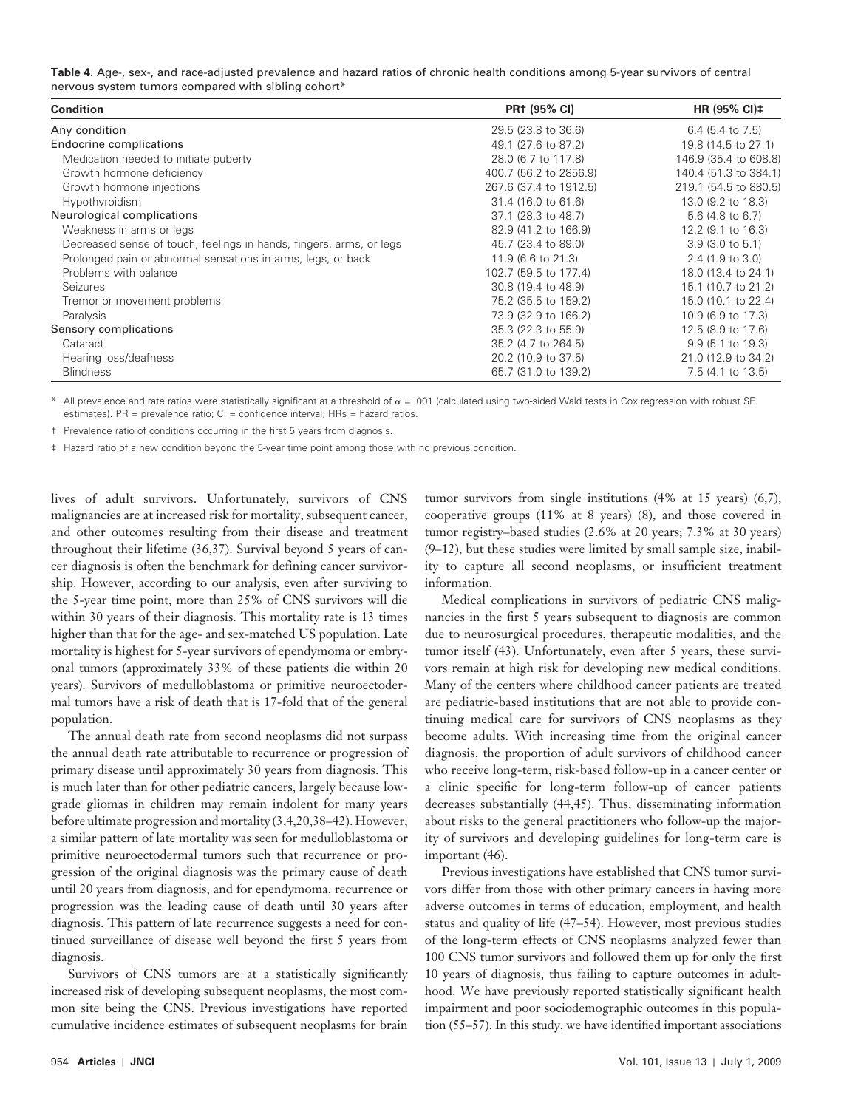| Table 4. Age-, sex-, and race-adjusted prevalence and hazard ratios of chronic health conditions among 5-year survivors of central |  |
|------------------------------------------------------------------------------------------------------------------------------------|--|
| nervous system tumors compared with sibling cohort*                                                                                |  |

| <b>Condition</b>                                                    | <b>PR1 (95% CI)</b>    | HR $(95\% \text{ Cl})$ ‡    |
|---------------------------------------------------------------------|------------------------|-----------------------------|
| Any condition                                                       | 29.5 (23.8 to 36.6)    | 6.4 $(5.4 \text{ to } 7.5)$ |
| <b>Endocrine complications</b>                                      | 49.1 (27.6 to 87.2)    | 19.8 (14.5 to 27.1)         |
| Medication needed to initiate puberty                               | 28.0 (6.7 to 117.8)    | 146.9 (35.4 to 608.8)       |
| Growth hormone deficiency                                           | 400.7 (56.2 to 2856.9) | 140.4 (51.3 to 384.1)       |
| Growth hormone injections                                           | 267.6 (37.4 to 1912.5) | 219.1 (54.5 to 880.5)       |
| Hypothyroidism                                                      | 31.4 (16.0 to 61.6)    | 13.0 (9.2 to 18.3)          |
| Neurological complications                                          | 37.1 (28.3 to 48.7)    | 5.6 (4.8 to 6.7)            |
| Weakness in arms or legs                                            | 82.9 (41.2 to 166.9)   | 12.2 (9.1 to 16.3)          |
| Decreased sense of touch, feelings in hands, fingers, arms, or legs | 45.7 (23.4 to 89.0)    | $3.9(3.0 \text{ to } 5.1)$  |
| Prolonged pain or abnormal sensations in arms, legs, or back        | 11.9 (6.6 to 21.3)     | $2.4$ (1.9 to 3.0)          |
| Problems with balance                                               | 102.7 (59.5 to 177.4)  | 18.0 (13.4 to 24.1)         |
| Seizures                                                            | 30.8 (19.4 to 48.9)    | 15.1 (10.7 to 21.2)         |
| Tremor or movement problems                                         | 75.2 (35.5 to 159.2)   | 15.0 (10.1 to 22.4)         |
| Paralysis                                                           | 73.9 (32.9 to 166.2)   | 10.9 (6.9 to 17.3)          |
| Sensory complications                                               | 35.3 (22.3 to 55.9)    | 12.5 (8.9 to 17.6)          |
| Cataract                                                            | 35.2 (4.7 to 264.5)    | $9.9(5.1 \text{ to } 19.3)$ |
| Hearing loss/deafness                                               | 20.2 (10.9 to 37.5)    | 21.0 (12.9 to 34.2)         |
| <b>Blindness</b>                                                    | 65.7 (31.0 to 139.2)   | 7.5 (4.1 to 13.5)           |

All prevalence and rate ratios were statistically significant at a threshold of  $\alpha = 0.001$  (calculated using two-sided Wald tests in Cox regression with robust SE estimates). PR = prevalence ratio; CI = confidence interval; HRs = hazard ratios.

† Prevalence ratio of conditions occurring in the first 5 years from diagnosis.

‡ Hazard ratio of a new condition beyond the 5-year time point among those with no previous condition.

lives of adult survivors. Unfortunately, survivors of CNS malignancies are at increased risk for mortality, subsequent cancer, and other outcomes resulting from their disease and treatment throughout their lifetime  $(36,37)$ . Survival beyond 5 years of cancer diagnosis is often the benchmark for defining cancer survivorship. However, according to our analysis, even after surviving to the 5-year time point, more than 25% of CNS survivors will die within 30 years of their diagnosis. This mortality rate is 13 times higher than that for the age- and sex-matched US population. Late mortality is highest for 5-year survivors of ependymoma or embryonal tumors (approximately 33% of these patients die within 20 years). Survivors of medulloblastoma or primitive neuroectodermal tumors have a risk of death that is 17-fold that of the general population.

The annual death rate from second neoplasms did not surpass the annual death rate attributable to recurrence or progression of primary disease until approximately 30 years from diagnosis. This is much later than for other pediatric cancers, largely because lowgrade gliomas in children may remain indolent for many years before ultimate progression and mortality (3,4,20,38-42). However, a similar pattern of late mortality was seen for medulloblastoma or primitive neuroectodermal tumors such that recurrence or progression of the original diagnosis was the primary cause of death until 20 years from diagnosis, and for ependymoma, recurrence or progression was the leading cause of death until 30 years after diagnosis. This pattern of late recurrence suggests a need for continued surveillance of disease well beyond the first 5 years from diagnosis.

Survivors of CNS tumors are at a statistically significantly increased risk of developing subsequent neoplasms, the most common site being the CNS. Previous investigations have reported cumulative incidence estimates of subsequent neoplasms for brain

tumor survivors from single institutions  $(4\%$  at 15 years)  $(6,7)$ , cooperative groups  $(11\%$  at 8 years)  $(8)$ , and those covered in tumor registry-based studies (2.6% at 20 years; 7.3% at 30 years)  $(9-12)$ , but these studies were limited by small sample size, inability to capture all second neoplasms, or insufficient treatment information.

Medical complications in survivors of pediatric CNS malignancies in the first 5 years subsequent to diagnosis are common due to neurosurgical procedures, therapeutic modalities, and the tumor itself (43). Unfortunately, even after 5 years, these survivors remain at high risk for developing new medical conditions. Many of the centers where childhood cancer patients are treated are pediatric-based institutions that are not able to provide continuing medical care for survivors of CNS neoplasms as they become adults. With increasing time from the original cancer diagnosis, the proportion of adult survivors of childhood cancer who receive long-term, risk-based follow-up in a cancer center or a clinic specific for long-term follow-up of cancer patients decreases substantially (44,45). Thus, disseminating information about risks to the general practitioners who follow-up the majority of survivors and developing guidelines for long-term care is important (46).

Previous investigations have established that CNS tumor survivors differ from those with other primary cancers in having more adverse outcomes in terms of education, employment, and health status and quality of life (47–54). However, most previous studies of the long-term effects of CNS neoplasms analyzed fewer than 100 CNS tumor survivors and followed them up for only the first 10 years of diagnosis, thus failing to capture outcomes in adulthood. We have previously reported statistically significant health impairment and poor sociodemographic outcomes in this population  $(55-57)$ . In this study, we have identified important associations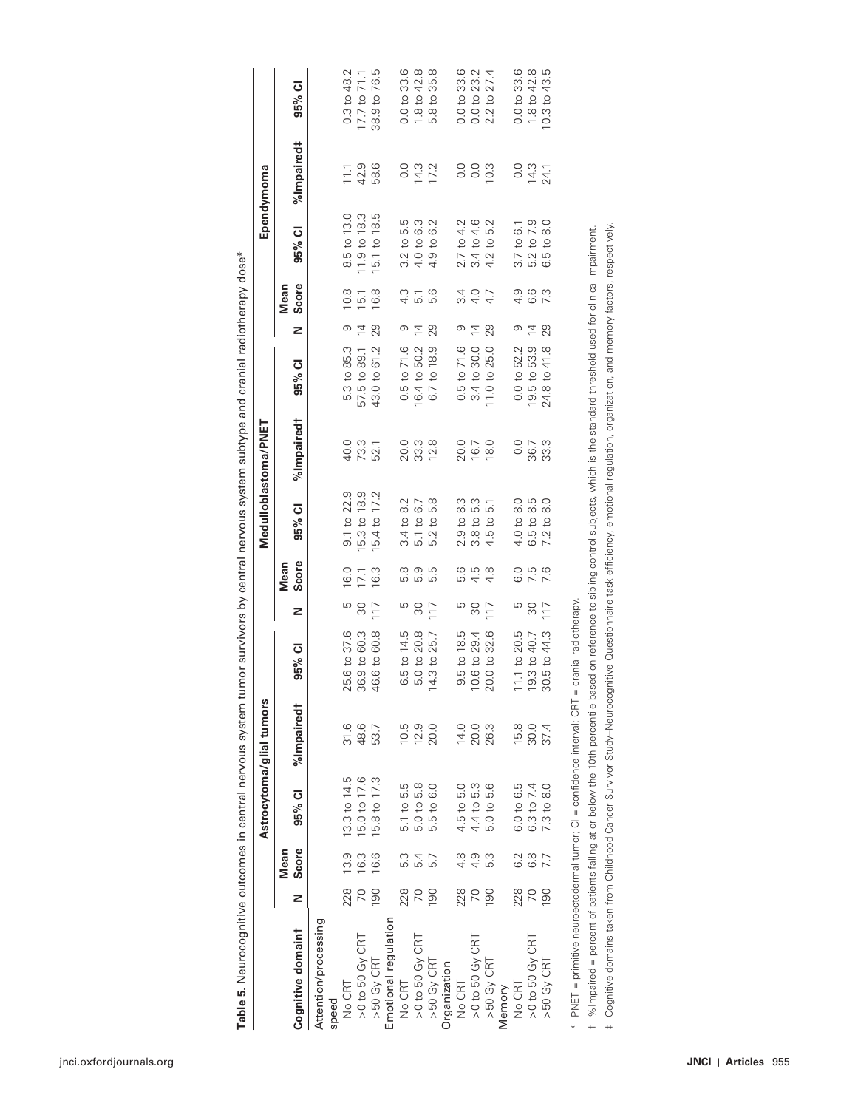|                                                                        |               |                  |                                    | Astrocytoma/glial tumors |                        |     |                  | Medulloblastoma/PNET                                          |            |                           |                |                                           |                              | Ependymoma |                                         |
|------------------------------------------------------------------------|---------------|------------------|------------------------------------|--------------------------|------------------------|-----|------------------|---------------------------------------------------------------|------------|---------------------------|----------------|-------------------------------------------|------------------------------|------------|-----------------------------------------|
| Cognitive domaint                                                      | z             | Score<br>Mean    | 95% CI                             | %Impaired <sup>†</sup>   | ō<br>95%               | z   | Score<br>Mean    | ō<br>95%                                                      | %Impaired† | ō<br>95%                  | z              | Score<br>Mean                             | $\bar{o}$<br>95%             | %Impaired# | ō<br>95%                                |
| Attention/processing<br>speed                                          |               |                  |                                    |                          |                        |     |                  |                                                               |            |                           |                |                                           |                              |            |                                         |
| No CRT                                                                 | 228           | 13.9             | 13.3 to 14.5                       | 31.6                     | 25.6 to 37.6           | ပ   | 0.9              | 9.1 to 22.9                                                   | 40.0       | 5.3 to 85.3               | တ              | $\frac{8}{10}$                            | 8.5 to 13.0                  | 11.1       | $0.3$ to $48.2$                         |
| >0 to 50 Gy CRT                                                        |               | $\frac{3}{6}$    | 5.0 to 17.6                        | 48.6                     | 60.3<br>36.9 to        | 80  | 17.1             | 5.3 to 18.9                                                   | 73.3       | 57.5 to 89.1              | $\overline{4}$ | <u>ی</u>                                  | 1.9 to 18.3                  | 42.9       | 71.1<br>17.7 <sub>to</sub>              |
| $>50$ Gy CRT                                                           | 8             | 6.6              | 5.8 to 17.3                        | 53.7                     | 60.8<br>46.6 to        | 117 | 16.3             | 17.2<br>5.4 to                                                | 52.1       | 61.2<br>43.0 to           | 29             | $\frac{8}{6}$                             | 18.5<br>5.1 to               | 58.6       | 76.5<br>38.9 to                         |
| Emotional regulation                                                   |               |                  |                                    |                          |                        |     |                  |                                                               |            |                           |                |                                           |                              |            |                                         |
| No CRT                                                                 | 228           | 5.3              | 5.1 to 5.5                         | 10.5                     | 14.5<br>6.5 to         | ഥ   | 5.8              | $\frac{2}{8}$<br>3.4 <sub>to</sub>                            | 20.0       | 71.6<br>0.5 <sub>to</sub> | တ              | $4.\overline{3}$                          | 5.5<br>$3.2$ to              | 0.0        | 0.0 to 33.6                             |
| $>0$ to 50 Gy CRT                                                      |               | 5.4              | 5.0 to 5.8                         | 12.9                     | 20.8<br>5.0 to 2       | ೫   | 5.9              | 6.7<br>5.1 to                                                 | 33.3       | 50.2<br>16.4 to           | $\overline{4}$ | $\overline{5}$ .                          | 6.3<br>4.0 to                | 14.3       | 42.8<br>1.8 <sub>to</sub>               |
| $>50$ Gy CRT                                                           | $\frac{8}{ }$ | 5.7              | 6.0<br>5.5 to                      | 20.0                     | 25.7<br>14.3 to        | 117 | ςη<br>σ          | 5.8<br>$\overline{c}$<br>$\overline{\mathcal{C}}$<br>.<br>دعا | 12.8       | 6.7 to 18.9               | 29             | ဖ<br>.<br>دعا                             | Ņ<br>ن<br>4.9 to             | 17.2       | 35.8<br>$\overline{c}$<br>$\frac{8}{5}$ |
| Organization                                                           |               |                  |                                    |                          |                        |     |                  |                                                               |            |                           |                |                                           |                              |            |                                         |
| No CRT                                                                 | 228           | 4.8              | 4.5 to 5.0                         | 14.0                     | 9.5 to 18.5            | ഥ   | 5.6              | 8.3<br>2.9 <sub>to</sub>                                      | 20.0       | 71.6<br>0.5 <sub>to</sub> | ာ              |                                           | 2.7 to 4.2                   | 0.0        | 0.0 to 33.6                             |
| >0 to 50 Gy CRT                                                        | 20            | 4.9              | 4.4 to 5.3                         | 20.0                     | 10.6 to 29.4           | 80  | 4.5              | 5.3<br>3.8 <sub>to</sub>                                      | 16.7       | 30.0<br>3.4 to            | $\overline{4}$ | 2<br>4<br>4<br>4<br>5<br>7<br>4<br>5<br>7 | 4.6<br>3.4 to                | 0.0        | 23.2<br>0.0 <sub>to</sub>               |
| $>50$ Gy CRT                                                           | 8             | 53               | 5.6<br>5.0 <sub>to</sub>           | 26.3                     | 32.6<br>$20.0$ to      | 117 | $4.\overline{8}$ | $\overline{5}$<br>5t0                                         | 18.0       | 25.0<br>11.0 to           | 29             |                                           | 5.2<br>$\overline{c}$<br>4.2 | 10.3       | 27.4<br>$\overline{c}$<br>2.2           |
| Memory                                                                 |               |                  |                                    |                          |                        |     |                  |                                                               |            |                           |                |                                           |                              |            |                                         |
| No CRT                                                                 | 228           | 6.2              | 6.0 to 6.5                         | 15.8                     | $11.1$ to $20.5$       | ഥ   | 6.0              | 4.0 to 8.0                                                    | 0.0        | 0.0 to 52.2               | တ              |                                           | $3.7 \text{ to } 6.1$        | 0.0        | 0.0 to 33.6                             |
| $>0$ to 50 Gy CRT                                                      |               | $6.\overline{8}$ | 6.3 to 7.4                         | 30.0                     | 19.3 to 40.7           | ೫   | 7.5              | S. 8<br>6.5 to                                                | 36.7       | 19.5 to 53.9              | $\overline{4}$ | 0<br>0<br>0<br>0<br>0                     | 7.9<br>5.2 <sub>to</sub>     | 14.3       | 1.8 to 42.8                             |
| >50 Gy CRT                                                             | 8             | 7.7              | $\frac{0}{8}$<br>7.3 <sub>to</sub> | 37.4                     | 44.3<br>30.5 to        | 117 | 7.6              | $\frac{0}{8}$<br>$\overline{c}$<br>7.2                        | 33.3       | 41.8<br>24.8 to           | 29             | 7.3                                       | $\frac{0}{8}$<br>$-5t$<br>6  | 24.        | 10.3 to 43.5                            |
| FALET — primitive neuroentodermal tumor: CI — confidence interval: CRT |               |                  |                                    |                          | - cranial radiotherany |     |                  |                                                               |            |                           |                |                                           |                              |            |                                         |

**Table 5.** Neurocognitive outcomes in central nervous system tumor survivors by central nervous system subtype and cranial radiotherapy dose \* Table 5. Neurocognitive outcomes in central nervous system tumor survivors by central nervous system subtype and cranial radiotherapy dose\*

 \* PNET = primitive neuroectodermal tumor; CI = confidence interval; CRT = cranial radiotherapy. \* PNET = primitive neuroectodermal tumor; CI = confidence interval; CRT = cranial radiotherapy.

1 %Impaired = percent of patients falling at or below the 10th percentile based on reference to sibling control subjects, which is the standard threshold used for clinical impairment. † %Impaired = percent of patients falling at or below the 10th percentile based on reference to sibling control subjects, which is the standard threshold used for clinical impairment.

 ‡ Cognitive domains taken from Childhood Cancer Survivor Study – Neurocognitive Questionnaire task efficiency, emotional regulation, organization, and memory factors, respectively. + Cognitive domains taken from Childhood Cancer Survivor Study-Neurocognitive Questionnaire task efficiency, emotional regulation, organization, and memory factors, respectively.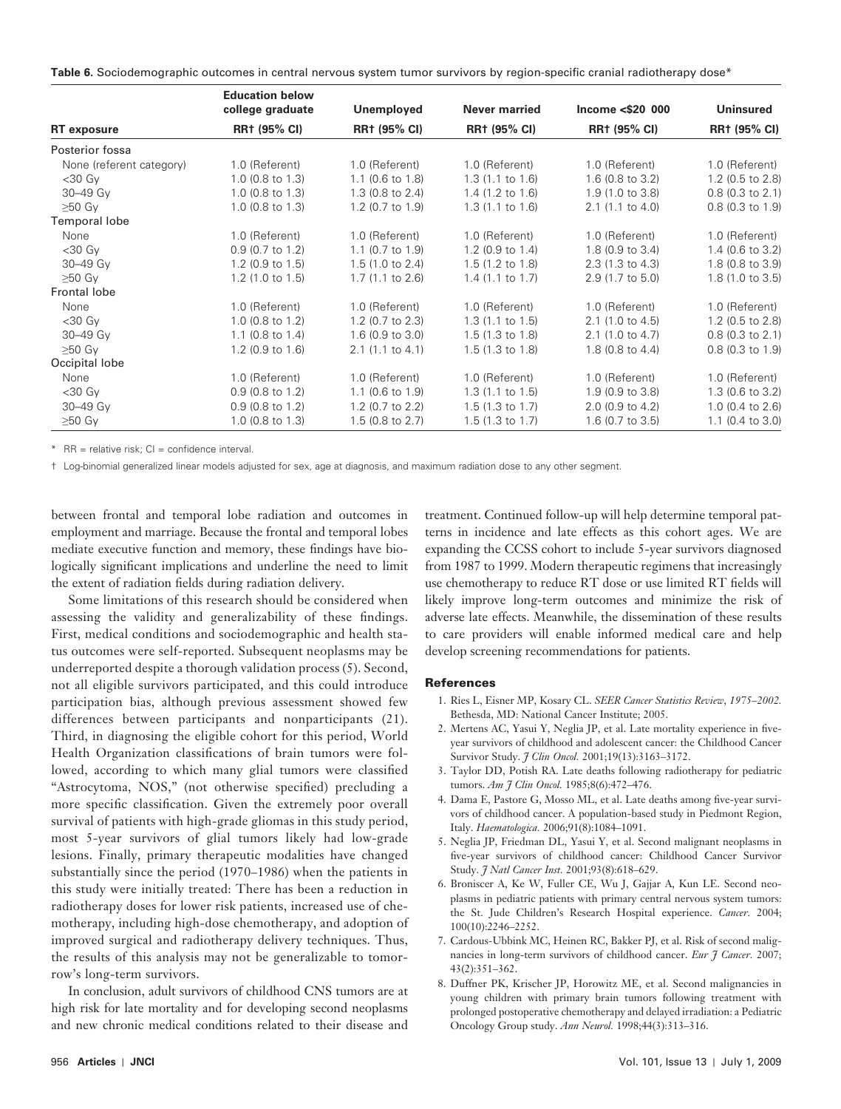Table 6. Sociodemographic outcomes in central nervous system tumor survivors by region-specific cranial radiotherapy dose\*

|                          | <b>Education below</b><br>college graduate | Unemployed                 | <b>Never married</b>        | Income $<$ \$20 000        | <b>Uninsured</b>            |
|--------------------------|--------------------------------------------|----------------------------|-----------------------------|----------------------------|-----------------------------|
| <b>RT</b> exposure       | <b>RR1 (95% CI)</b>                        | <b>RR1 (95% CI)</b>        | <b>RR1 (95% CI)</b>         | <b>RR1 (95% CI)</b>        | RR† (95% CI)                |
| Posterior fossa          |                                            |                            |                             |                            |                             |
| None (referent category) | 1.0 (Referent)                             | 1.0 (Referent)             | 1.0 (Referent)              | 1.0 (Referent)             | 1.0 (Referent)              |
| $<$ 30 G $<$             | $1.0$ (0.8 to 1.3)                         | $1.1$ (0.6 to 1.8)         | $1.3(1.1 \text{ to } 1.6)$  | 1.6 (0.8 to 3.2)           | $1.2$ (0.5 to 2.8)          |
| 30-49 Gy                 | $1.0$ (0.8 to 1.3)                         | $1.3$ (0.8 to 2.4)         | $1.4$ (1.2 to 1.6)          | 1.9(1.0 to 3.8)            | $0.8$ (0.3 to 2.1)          |
| $\geq 50$ Gy             | $1.0$ (0.8 to 1.3)                         | $1.2$ (0.7 to $1.9$ )      | $1.3(1.1 \text{ to } 1.6)$  | $2.1$ (1.1 to 4.0)         | $0.8$ (0.3 to 1.9)          |
| Temporal lobe            |                                            |                            |                             |                            |                             |
| None                     | 1.0 (Referent)                             | 1.0 (Referent)             | 1.0 (Referent)              | 1.0 (Referent)             | 1.0 (Referent)              |
| $<$ 30 G $<$             | $0.9$ (0.7 to 1.2)                         | $1.1$ (0.7 to 1.9)         | 1.2 $(0.9 \text{ to } 1.4)$ | $1.8$ (0.9 to 3.4)         | $1.4$ (0.6 to 3.2)          |
| 30-49 Gy                 | $1.2$ (0.9 to 1.5)                         | 1.5(1.0 to 2.4)            | $1.5(1.2 \text{ to } 1.8)$  | $2.3(1.3 \text{ to } 4.3)$ | 1.8 (0.8 to 3.9)            |
| $\geq 50$ Gy             | $1.2$ (1.0 to 1.5)                         | $1.7(1.1 \text{ to } 2.6)$ | $1.4$ (1.1 to 1.7)          | 2.9 (1.7 to 5.0)           | 1.8 (1.0 to 3.5)            |
| Frontal lobe             |                                            |                            |                             |                            |                             |
| None                     | 1.0 (Referent)                             | 1.0 (Referent)             | 1.0 (Referent)              | 1.0 (Referent)             | 1.0 (Referent)              |
| $<$ 30 G $<$             | $1.0$ (0.8 to 1.2)                         | $1.2$ (0.7 to 2.3)         | $1.3(1.1 \text{ to } 1.5)$  | $2.1$ (1.0 to 4.5)         | $1.2$ (0.5 to 2.8)          |
| 30-49 Gy                 | 1.1 $(0.8 \text{ to } 1.4)$                | 1.6(0.9 to 3.0)            | $1.5(1.3 \text{ to } 1.8)$  | $2.1$ (1.0 to 4.7)         | $0.8$ (0.3 to 2.1)          |
| $\geq 50$ Gy             | 1.2 $(0.9 \text{ to } 1.6)$                | $2.1$ (1.1 to 4.1)         | $1.5(1.3 \text{ to } 1.8)$  | $1.8$ (0.8 to 4.4)         | $0.8$ (0.3 to 1.9)          |
| Occipital lobe           |                                            |                            |                             |                            |                             |
| None                     | 1.0 (Referent)                             | 1.0 (Referent)             | 1.0 (Referent)              | 1.0 (Referent)             | 1.0 (Referent)              |
| $<$ 30 Gy                | $0.9$ (0.8 to 1.2)                         | $1.1$ (0.6 to 1.9)         | $1.3(1.1 \text{ to } 1.5)$  | $1.9(0.9 \text{ to } 3.8)$ | $1.3$ (0.6 to 3.2)          |
| 30-49 Gy                 | $0.9$ (0.8 to 1.2)                         | 1.2 (0.7 to 2.2)           | $1.5(1.3 \text{ to } 1.7)$  | 2.0 (0.9 to 4.2)           | 1.0 (0.4 to 2.6)            |
| $\geq 50$ Gy             | 1.0 $(0.8 \text{ to } 1.3)$                | $1.5$ (0.8 to 2.7)         | $1.5(1.3 \text{ to } 1.7)$  | $1.6$ (0.7 to 3.5)         | 1.1 $(0.4 \text{ to } 3.0)$ |

\*  $RR =$  relative risk;  $Cl =$  confidence interval.

† Log-binomial generalized linear models adjusted for sex, age at diagnosis, and maximum radiation dose to any other segment.

between frontal and temporal lobe radiation and outcomes in employment and marriage. Because the frontal and temporal lobes mediate executive function and memory, these findings have biologically significant implications and underline the need to limit the extent of radiation fields during radiation delivery.

Some limitations of this research should be considered when assessing the validity and generalizability of these findings. First, medical conditions and sociodemographic and health status outcomes were self-reported. Subsequent neoplasms may be underreported despite a thorough validation process (5). Second, not all eligible survivors participated, and this could introduce participation bias, although previous assessment showed few differences between participants and nonparticipants (21). Third, in diagnosing the eligible cohort for this period, World Health Organization classifications of brain tumors were followed, according to which many glial tumors were classified "Astrocytoma, NOS," (not otherwise specified) precluding a more specific classification. Given the extremely poor overall survival of patients with high-grade gliomas in this study period, most 5-year survivors of glial tumors likely had low-grade lesions. Finally, primary therapeutic modalities have changed substantially since the period (1970–1986) when the patients in this study were initially treated: There has been a reduction in radiotherapy doses for lower risk patients, increased use of chemotherapy, including high-dose chemotherapy, and adoption of improved surgical and radiotherapy delivery techniques. Thus, the results of this analysis may not be generalizable to tomorrow's long-term survivors.

In conclusion, adult survivors of childhood CNS tumors are at high risk for late mortality and for developing second neoplasms and new chronic medical conditions related to their disease and

treatment. Continued follow-up will help determine temporal patterns in incidence and late effects as this cohort ages. We are expanding the CCSS cohort to include 5-year survivors diagnosed from 1987 to 1999. Modern therapeutic regimens that increasingly use chemotherapy to reduce RT dose or use limited RT fields will likely improve long-term outcomes and minimize the risk of adverse late effects. Meanwhile, the dissemination of these results to care providers will enable informed medical care and help develop screening recommendations for patients.

#### References

- 1. Ries L, Eisner MP, Kosary CL. SEER Cancer Statistics Review, 1975-2002. Bethesda, MD: National Cancer Institute; 2005.
- 2. Mertens AC, Yasui Y, Neglia JP, et al. Late mortality experience in fiveyear survivors of childhood and adolescent cancer: the Childhood Cancer Survivor Study. *7 Clin Oncol.* 2001;19(13):3163-3172.
- 3. Taylor DD, Potish RA. Late deaths following radiotherapy for pediatric tumors. Am J Clin Oncol. 1985;8(6):472-476.
- 4. Dama E, Pastore G, Mosso ML, et al. Late deaths among five-year survivors of childhood cancer. A population-based study in Piedmont Region, Italy. *Haematologica*. 2006;91(8):1084-1091.
- 5. Neglia JP, Friedman DL, Yasui Y, et al. Second malignant neoplasms in five-year survivors of childhood cancer: Childhood Cancer Survivor Study. *J Natl Cancer Inst.* 2001;93(8):618-629.
- 6. Broniscer A, Ke W, Fuller CE, Wu J, Gajjar A, Kun LE. Second neoplasms in pediatric patients with primary central nervous system tumors: the St. Jude Children's Research Hospital experience. *Cancer*. 2004; 100(10):2246-2252.
- 7. Cardous-Ubbink MC, Heinen RC, Bakker PJ, et al. Risk of second malignancies in long-term survivors of childhood cancer. *Eur J Cancer*. 2007;  $43(2):351 - 362.$
- 8. Duffner PK, Krischer JP, Horowitz ME, et al. Second malignancies in young children with primary brain tumors following treatment with prolonged postoperative chemotherapy and delayed irradiation: a Pediatric Oncology Group study. *Ann Neurol.* 1998;44(3):313-316.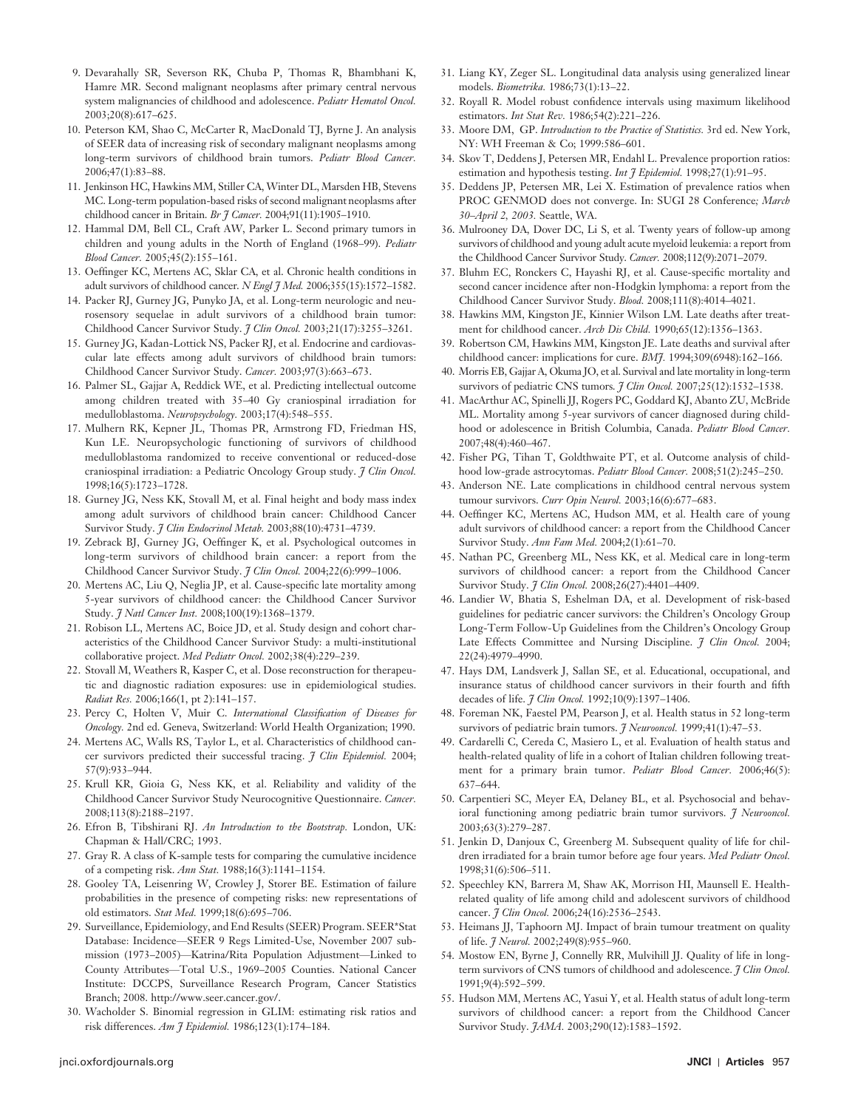- 9. Devarahally SR, Severson RK, Chuba P, Thomas R, Bhambhani K, Hamre MR. Second malignant neoplasms after primary central nervous system malignancies of childhood and adolescence . *Pediatr Hematol Oncol .*  2003:20(8):617-625.
- 10. Peterson KM, Shao C, McCarter R, MacDonald TJ, Byrne J. An analysis of SEER data of increasing risk of secondary malignant neoplasms among long-term survivors of childhood brain tumors. Pediatr Blood Cancer. 2006;47(1):83 – 88 .
- 11. Jenkinson HC, Hawkins MM, Stiller CA, Winter DL, Marsden HB, Stevens MC . Long-term population-based risks of second malignant neoplasms after childhood cancer in Britain. *Br J Cancer*. 2004;91(11):1905-1910.
- 12. Hammal DM, Bell CL, Craft AW, Parker L. Second primary tumors in children and young adults in the North of England (1968-99). *Pediatr Blood Cancer.* 2005;45(2):155-161.
- 13. Oeffinger KC, Mertens AC, Sklar CA, et al. Chronic health conditions in adult survivors of childhood cancer. *N Engl J Med.* 2006;355(15):1572-1582.
- 14. Packer RJ, Gurney JG, Punyko JA, et al. Long-term neurologic and neurosensory sequelae in adult survivors of a childhood brain tumor: Childhood Cancer Survivor Study. *7 Clin Oncol.* 2003;21(17):3255-3261.
- 15. Gurney JG, Kadan-Lottick NS, Packer RJ, et al. Endocrine and cardiovascular late effects among adult survivors of childhood brain tumors: Childhood Cancer Survivor Study. *Cancer*. 2003;97(3):663-673.
- 16. Palmer SL, Gajjar A, Reddick WE, et al. Predicting intellectual outcome among children treated with 35-40 Gy craniospinal irradiation for medulloblastoma. *Neuropsychology*. 2003;17(4):548-555.
- 17. Mulhern RK, Kepner JL, Thomas PR, Armstrong FD, Friedman HS, Kun LE . Neuropsychologic functioning of survivors of childhood medulloblastoma randomized to receive conventional or reduced-dose craniospinal irradiation: a Pediatric Oncology Group study. *J Clin Oncol*. 1998;16(5):1723-1728.
- 18. Gurney JG, Ness KK, Stovall M, et al. Final height and body mass index among adult survivors of childhood brain cancer: Childhood Cancer Survivor Study. *J Clin Endocrinol Metab*. 2003;88(10):4731-4739.
- 19. Zebrack BJ, Gurney JG, Oeffinger K, et al. Psychological outcomes in long-term survivors of childhood brain cancer: a report from the Childhood Cancer Survivor Study. *J Clin Oncol.* 2004;22(6):999-1006.
- 20. Mertens AC, Liu Q, Neglia JP, et al. Cause-specific late mortality among 5-year survivors of childhood cancer: the Childhood Cancer Survivor Study. *J Natl Cancer Inst.* 2008;100(19):1368-1379.
- 21. Robison LL, Mertens AC, Boice JD, et al. Study design and cohort characteristics of the Childhood Cancer Survivor Study: a multi-institutional collaborative project. *Med Pediatr Oncol.* 2002;38(4):229-239.
- 22. Stovall M, Weathers R, Kasper C, et al. Dose reconstruction for therapeutic and diagnostic radiation exposures: use in epidemiological studies. *Radiat Res.* 2006;166(1, pt 2):141-157.
- 23. Percy C, Holten V, Muir C. *International Classification of Diseases for Oncology.* 2nd ed. Geneva, Switzerland: World Health Organization; 1990.
- 24. Mertens AC, Walls RS, Taylor L, et al. Characteristics of childhood cancer survivors predicted their successful tracing . *J Clin Epidemiol .* 2004; 57(9):933-944.
- 25. Krull KR, Gioia G, Ness KK, et al. Reliability and validity of the Childhood Cancer Survivor Study Neurocognitive Questionnaire. *Cancer*. 2008;113(8):2188-2197.
- 26. Efron B, Tibshirani RJ. An Introduction to the Bootstrap. London, UK: Chapman & Hall/CRC; 1993.
- 27. GrayR . A class of K-sample tests for comparing the cumulative incidence of a competing risk. *Ann Stat.* 1988;16(3):1141-1154.
- 28. Gooley TA, Leisenring W, Crowley J, Storer BE. Estimation of failure probabilities in the presence of competing risks: new representations of old estimators. *Stat Med.* 1999;18(6):695-706.
- 29. Surveillance, Epidemiology, and End Results (SEER) Program . SEER\*Stat Database: Incidence —SEER 9 Regs Limited-Use, November 2007 submission (1973-2005)-Katrina/Rita Population Adjustment-Linked to County Attributes-Total U.S., 1969-2005 Counties. National Cancer Institute: DCCPS, Surveillance Research Program, Cancer Statistics Branch; 2008. http://www.seer.cancer.gov/.
- 30. Wacholder S. Binomial regression in GLIM: estimating risk ratios and risk differences. *Am J Epidemiol*. 1986;123(1):174-184.
- 31. Liang KY, Zeger SL. Longitudinal data analysis using generalized linear models. *Biometrika*. 1986;73(1):13-22.
- 32. Royall R. Model robust confidence intervals using maximum likelihood estimators. *Int Stat Rev.* 1986;54(2):221-226.
- 33. Moore DM, GP. *Introduction to the Practice of Statistics*. 3rd ed. New York, NY: WH Freeman & Co; 1999:586-601.
- 34. Skov T, Deddens J, Petersen MR, Endahl L. Prevalence proportion ratios: estimation and hypothesis testing. *Int J Epidemiol*. 1998;27(1):91-95.
- 35. Deddens JP, Petersen MR, Lei X. Estimation of prevalence ratios when PROC GENMOD does not converge. In: SUGI 28 Conference; March *30 – April 2, 2003 .* Seattle, WA .
- 36. Mulrooney DA, Dover DC, Li S, et al. Twenty years of follow-up among survivors of childhood and young adult acute myeloid leukemia: a report from the Childhood Cancer Survivor Study. *Cancer*. 2008;112(9):2071-2079.
- 37. Bluhm EC, Ronckers C, Hayashi RJ, et al. Cause-specific mortality and second cancer incidence after non-Hodgkin lymphoma: a report from the Childhood Cancer Survivor Study. *Blood.* 2008;111(8):4014-4021.
- 38. Hawkins MM, Kingston JE, Kinnier Wilson LM. Late deaths after treatment for childhood cancer. *Arch Dis Child*. 1990;65(12):1356-1363.
- 39. Robertson CM, Hawkins MM, Kingston JE. Late deaths and survival after childhood cancer: implications for cure. *BM*7. 1994;309(6948):162-166.
- 40. Morris EB, Gajjar A, Okuma JO, et al. Survival and late mortality in long-term survivors of pediatric CNS tumors. *J Clin Oncol.* 2007;25(12):1532-1538.
- 41. MacArthur AC, Spinelli JJ, Rogers PC, Goddard KJ, Abanto ZU, McBride ML . Mortality among 5-year survivors of cancer diagnosed during childhood or adolescence in British Columbia, Canada . *Pediatr Blood Cancer .*  2007;48(4):460-467.
- 42. Fisher PG, Tihan T, Goldthwaite PT, et al. Outcome analysis of childhood low-grade astrocytomas. *Pediatr Blood Cancer*. 2008;51(2):245-250.
- 43. Anderson NE . Late complications in childhood central nervous system tumour survivors. *Curr Opin Neurol*. 2003;16(6):677-683.
- 44. Oeffinger KC, Mertens AC, Hudson MM, et al. Health care of young adult survivors of childhood cancer: a report from the Childhood Cancer Survivor Study. *Ann Fam Med.* 2004;2(1):61-70.
- 45. Nathan PC, Greenberg ML, Ness KK, et al. Medical care in long-term survivors of childhood cancer: a report from the Childhood Cancer Survivor Study. *J Clin Oncol*. 2008;26(27):4401-4409.
- 46. Landier W, Bhatia S, Eshelman DA, et al. Development of risk-based guidelines for pediatric cancer survivors: the Children's Oncology Group Long-Term Follow-Up Guidelines from the Children's Oncology Group Late Effects Committee and Nursing Discipline. *J Clin Oncol.* 2004; 22(24):4979-4990.
- 47. Hays DM, Landsverk J, Sallan SE, et al. Educational, occupational, and insurance status of childhood cancer survivors in their fourth and fifth decades of life. *J Clin Oncol.* 1992;10(9):1397-1406.
- 48. Foreman NK, Faestel PM, Pearson J, et al. Health status in 52 long-term survivors of pediatric brain tumors. *J Neurooncol*. 1999;41(1):47-53.
- 49. Cardarelli C, Cereda C, Masiero L, et al. Evaluation of health status and health-related quality of life in a cohort of Italian children following treatment for a primary brain tumor. *Pediatr Blood Cancer*. 2006;46(5): 637-644.
- 50. Carpentieri SC, Meyer EA, Delaney BL, et al. Psychosocial and behavioral functioning among pediatric brain tumor survivors. *I Neurooncol.* 2003;63(3):279-287.
- 51. Jenkin D, Danjoux C, Greenberg M. Subsequent quality of life for children irradiated for a brain tumor before age four years . *Med Pediatr Oncol .*   $1998;31(6):506 - 511.$
- 52. Speechley KN, Barrera M, Shaw AK, Morrison HI, Maunsell E. Healthrelated quality of life among child and adolescent survivors of childhood cancer. *J Clin Oncol.* 2006;24(16):2536-2543.
- 53. Heimans JJ, Taphoorn MJ. Impact of brain tumour treatment on quality of life.  $\frac{7}{2}$  Neurol. 2002;249(8):955-960.
- 54. Mostow EN, Byrne J, Connelly RR, Mulvihill JJ. Quality of life in longterm survivors of CNS tumors of childhood and adolescence. *I Clin Oncol*. 1991;9(4):592-599.
- 55. Hudson MM, Mertens AC, Yasui Y, et al. Health status of adult long-term survivors of childhood cancer: a report from the Childhood Cancer Survivor Study.  $JAMA$ . 2003;290(12):1583-1592.